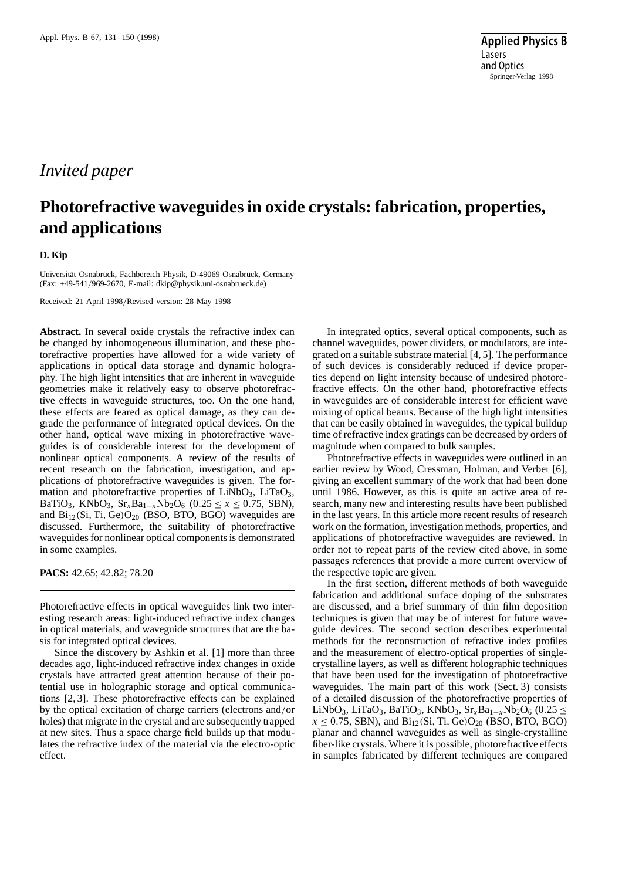*Invited paper*

# **Photorefractive waveguides in oxide crystals: fabrication, properties, and applications**

# **D. Kip**

Universität Osnabrück, Fachbereich Physik, D-49069 Osnabrück, Germany (Fax: +49-541*/*969-2670, E-mail: dkip@physik.uni-osnabrueck.de)

Received: 21 April 1998*/*Revised version: 28 May 1998

**Abstract.** In several oxide crystals the refractive index can be changed by inhomogeneous illumination, and these photorefractive properties have allowed for a wide variety of applications in optical data storage and dynamic holography. The high light intensities that are inherent in waveguide geometries make it relatively easy to observe photorefractive effects in waveguide structures, too. On the one hand, these effects are feared as optical damage, as they can degrade the performance of integrated optical devices. On the other hand, optical wave mixing in photorefractive waveguides is of considerable interest for the development of nonlinear optical components. A review of the results of recent research on the fabrication, investigation, and applications of photorefractive waveguides is given. The formation and photorefractive properties of  $LiNbO<sub>3</sub>$ ,  $LiTaO<sub>3</sub>$ , BaTiO<sub>3</sub>, KNbO<sub>3</sub>, Sr<sub>*x*</sub>Ba<sub>1−*x*</sub>Nb<sub>2</sub>O<sub>6</sub> (0.25 ≤ *x* ≤ 0.75, SBN), and  $Bi_{12}(Si, Ti, Ge)O_{20}$  (BSO, BTO, BGO) waveguides are discussed. Furthermore, the suitability of photorefractive waveguides for nonlinear optical components is demonstrated in some examples.

**PACS:** 42.65; 42.82; 78.20

Photorefractive effects in optical waveguides link two interesting research areas: light-induced refractive index changes in optical materials, and waveguide structures that are the basis for integrated optical devices.

Since the discovery by Ashkin et al. [1] more than three decades ago, light-induced refractive index changes in oxide crystals have attracted great attention because of their potential use in holographic storage and optical communications [2, 3]. These photorefractive effects can be explained by the optical excitation of charge carriers (electrons and*/*or holes) that migrate in the crystal and are subsequently trapped at new sites. Thus a space charge field builds up that modulates the refractive index of the material via the electro-optic effect.

In integrated optics, several optical components, such as channel waveguides, power dividers, or modulators, are integrated on a suitable substrate material [4, 5]. The performance of such devices is considerably reduced if device properties depend on light intensity because of undesired photorefractive effects. On the other hand, photorefractive effects in waveguides are of considerable interest for efficient wave mixing of optical beams. Because of the high light intensities that can be easily obtained in waveguides, the typical buildup time of refractive index gratings can be decreased by orders of magnitude when compared to bulk samples.

Photorefractive effects in waveguides were outlined in an earlier review by Wood, Cressman, Holman, and Verber [6], giving an excellent summary of the work that had been done until 1986. However, as this is quite an active area of research, many new and interesting results have been published in the last years. In this article more recent results of research work on the formation, investigation methods, properties, and applications of photorefractive waveguides are reviewed. In order not to repeat parts of the review cited above, in some passages references that provide a more current overview of the respective topic are given.

In the first section, different methods of both waveguide fabrication and additional surface doping of the substrates are discussed, and a brief summary of thin film deposition techniques is given that may be of interest for future waveguide devices. The second section describes experimental methods for the reconstruction of refractive index profiles and the measurement of electro-optical properties of singlecrystalline layers, as well as different holographic techniques that have been used for the investigation of photorefractive waveguides. The main part of this work (Sect. 3) consists of a detailed discussion of the photorefractive properties of LiNbO<sub>3</sub>, LiTaO<sub>3</sub>, BaTiO<sub>3</sub>, KNbO<sub>3</sub>, Sr<sub>*x*</sub>Ba<sub>1−*x*</sub>Nb<sub>2</sub>O<sub>6</sub> (0.25 ≤  $x \le 0.75$ , SBN), and  $\text{Bi}_{12}(\text{Si}, \text{Ti}, \text{Ge})\text{O}_{20}$  (BSO, BTO, BGO) planar and channel waveguides as well as single-crystalline fiber-like crystals. Where it is possible, photorefractive effects in samples fabricated by different techniques are compared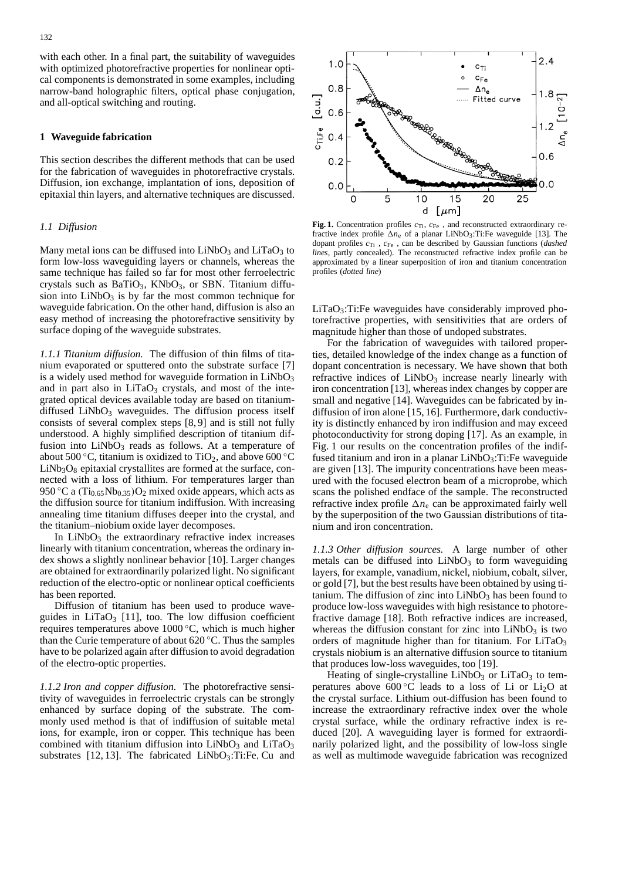with each other. In a final part, the suitability of waveguides with optimized photorefractive properties for nonlinear optical components is demonstrated in some examples, including narrow-band holographic filters, optical phase conjugation, and all-optical switching and routing.

# **1 Waveguide fabrication**

This section describes the different methods that can be used for the fabrication of waveguides in photorefractive crystals. Diffusion, ion exchange, implantation of ions, deposition of epitaxial thin layers, and alternative techniques are discussed.

# *1.1 Diffusion*

Many metal ions can be diffused into  $LiNbO<sub>3</sub>$  and  $LiTaO<sub>3</sub>$  to form low-loss waveguiding layers or channels, whereas the same technique has failed so far for most other ferroelectric crystals such as  $BaTiO<sub>3</sub>$ , KNbO<sub>3</sub>, or SBN. Titanium diffusion into  $LiNbO<sub>3</sub>$  is by far the most common technique for waveguide fabrication. On the other hand, diffusion is also an easy method of increasing the photorefractive sensitivity by surface doping of the waveguide substrates.

*1.1.1 Titanium diffusion.* The diffusion of thin films of titanium evaporated or sputtered onto the substrate surface [7] is a widely used method for waveguide formation in  $LiNbO<sub>3</sub>$ and in part also in  $LiTaO<sub>3</sub>$  crystals, and most of the integrated optical devices available today are based on titaniumdiffused  $LiNbO<sub>3</sub>$  waveguides. The diffusion process itself consists of several complex steps [8, 9] and is still not fully understood. A highly simplified description of titanium diffusion into  $LiNbO<sub>3</sub>$  reads as follows. At a temperature of about 500 °C, titanium is oxidized to TiO<sub>2</sub>, and above 600 °C  $LiNb<sub>3</sub>O<sub>8</sub>$  epitaxial crystallites are formed at the surface, connected with a loss of lithium. For temperatures larger than 950 °C a (Ti<sub>0.65</sub>Nb<sub>0.35</sub>)O<sub>2</sub> mixed oxide appears, which acts as the diffusion source for titanium indiffusion. With increasing annealing time titanium diffuses deeper into the crystal, and the titanium–niobium oxide layer decomposes.

In  $LiNbO<sub>3</sub>$  the extraordinary refractive index increases linearly with titanium concentration, whereas the ordinary index shows a slightly nonlinear behavior [10]. Larger changes are obtained for extraordinarily polarized light. No significant reduction of the electro-optic or nonlinear optical coefficients has been reported.

Diffusion of titanium has been used to produce waveguides in LiTaO<sub>3</sub> [11], too. The low diffusion coefficient requires temperatures above 1000 ◦C, which is much higher than the Curie temperature of about 620 ◦C. Thus the samples have to be polarized again after diffusion to avoid degradation of the electro-optic properties.

*1.1.2 Iron and copper diffusion.* The photorefractive sensitivity of waveguides in ferroelectric crystals can be strongly enhanced by surface doping of the substrate. The commonly used method is that of indiffusion of suitable metal ions, for example, iron or copper. This technique has been combined with titanium diffusion into  $LiNbO<sub>3</sub>$  and  $LiTaO<sub>3</sub>$ substrates [12, 13]. The fabricated LiNbO<sub>3</sub>:Ti:Fe, Cu and



Fig. 1. Concentration profiles  $c_{Ti}$ ,  $c_{Fe}$ , and reconstructed extraordinary refractive index profile ∆*n*<sup>e</sup> of a planar LiNbO3:Ti:Fe waveguide [13]. The dopant profiles  $c_{Ti}$  ,  $c_{Fe}$  , can be described by Gaussian functions (*dashed lines*, partly concealed). The reconstructed refractive index profile can be approximated by a linear superposition of iron and titanium concentration profiles (*dotted line*)

 $LiTaO<sub>3</sub>:Ti:Fe$  waveguides have considerably improved photorefractive properties, with sensitivities that are orders of magnitude higher than those of undoped substrates.

For the fabrication of waveguides with tailored properties, detailed knowledge of the index change as a function of dopant concentration is necessary. We have shown that both refractive indices of  $LiNbO<sub>3</sub>$  increase nearly linearly with iron concentration [13], whereas index changes by copper are small and negative [14]. Waveguides can be fabricated by indiffusion of iron alone [15, 16]. Furthermore, dark conductivity is distinctly enhanced by iron indiffusion and may exceed photoconductivity for strong doping [17]. As an example, in Fig. 1 our results on the concentration profiles of the indiffused titanium and iron in a planar  $LiNbO<sub>3</sub>:Ti:Fe$  waveguide are given [13]. The impurity concentrations have been measured with the focused electron beam of a microprobe, which scans the polished endface of the sample. The reconstructed refractive index profile  $\Delta n_e$  can be approximated fairly well by the superposition of the two Gaussian distributions of titanium and iron concentration.

*1.1.3 Other diffusion sources.* A large number of other metals can be diffused into  $LiNbO<sub>3</sub>$  to form waveguiding layers, for example, vanadium, nickel, niobium, cobalt, silver, or gold [7], but the best results have been obtained by using titanium. The diffusion of zinc into  $LiNbO<sub>3</sub>$  has been found to produce low-loss waveguides with high resistance to photorefractive damage [18]. Both refractive indices are increased, whereas the diffusion constant for zinc into  $LiNbO<sub>3</sub>$  is two orders of magnitude higher than for titanium. For  $LiTaO<sub>3</sub>$ crystals niobium is an alternative diffusion source to titanium that produces low-loss waveguides, too [19].

Heating of single-crystalline  $LiNbO<sub>3</sub>$  or  $LiTaO<sub>3</sub>$  to temperatures above 600 °C leads to a loss of Li or Li<sub>2</sub>O at the crystal surface. Lithium out-diffusion has been found to increase the extraordinary refractive index over the whole crystal surface, while the ordinary refractive index is reduced [20]. A waveguiding layer is formed for extraordinarily polarized light, and the possibility of low-loss single as well as multimode waveguide fabrication was recognized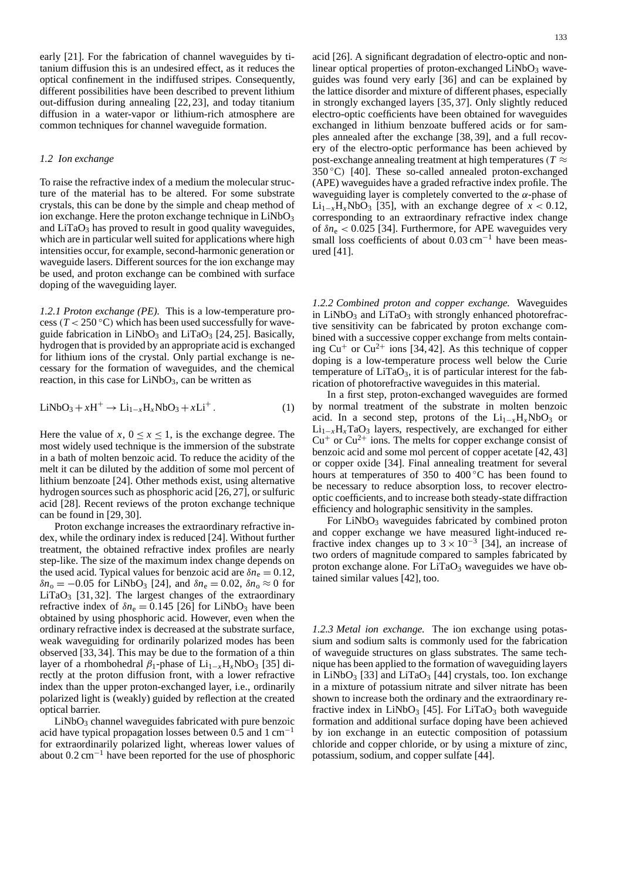early [21]. For the fabrication of channel waveguides by titanium diffusion this is an undesired effect, as it reduces the optical confinement in the indiffused stripes. Consequently, different possibilities have been described to prevent lithium out-diffusion during annealing [22, 23], and today titanium diffusion in a water-vapor or lithium-rich atmosphere are common techniques for channel waveguide formation.

# *1.2 Ion exchange*

To raise the refractive index of a medium the molecular structure of the material has to be altered. For some substrate crystals, this can be done by the simple and cheap method of ion exchange. Here the proton exchange technique in  $LiNbO<sub>3</sub>$ and  $LiTaO<sub>3</sub>$  has proved to result in good quality waveguides, which are in particular well suited for applications where high intensities occur, for example, second-harmonic generation or waveguide lasers. Different sources for the ion exchange may be used, and proton exchange can be combined with surface doping of the waveguiding layer.

*1.2.1 Proton exchange (PE).* This is a low-temperature process  $(T < 250 °C)$  which has been used successfully for waveguide fabrication in  $LiNbO<sub>3</sub>$  and  $LiTaO<sub>3</sub>$  [24, 25]. Basically, hydrogen that is provided by an appropriate acid is exchanged for lithium ions of the crystal. Only partial exchange is necessary for the formation of waveguides, and the chemical reaction, in this case for  $LiNbO<sub>3</sub>$ , can be written as

$$
LiNbO3 + xH+ \to Li1-xHxNbO3 + xLi+. \t(1)
$$

Here the value of  $x, 0 \le x \le 1$ , is the exchange degree. The most widely used technique is the immersion of the substrate in a bath of molten benzoic acid. To reduce the acidity of the melt it can be diluted by the addition of some mol percent of lithium benzoate [24]. Other methods exist, using alternative hydrogen sources such as phosphoric acid [26, 27], or sulfuric acid [28]. Recent reviews of the proton exchange technique can be found in [29, 30].

Proton exchange increases the extraordinary refractive index, while the ordinary index is reduced [24]. Without further treatment, the obtained refractive index profiles are nearly step-like. The size of the maximum index change depends on the used acid. Typical values for benzoic acid are  $\delta n_e = 0.12$ , *δn*<sub>0</sub> = −0*.*05 for LiNbO<sub>3</sub> [24], and *δn*<sub>e</sub> = 0*.*02, *δn*<sub>0</sub> ≈ 0 for LiTaO<sub>3</sub> [31, 32]. The largest changes of the extraordinary refractive index of  $\delta n_e = 0.145$  [26] for LiNbO<sub>3</sub> have been obtained by using phosphoric acid. However, even when the ordinary refractive index is decreased at the substrate surface, weak waveguiding for ordinarily polarized modes has been observed [33, 34]. This may be due to the formation of a thin layer of a rhombohedral  $\beta_1$ -phase of Li<sub>1−*x*</sub>H<sub>*x*</sub>NbO<sub>3</sub> [35] directly at the proton diffusion front, with a lower refractive index than the upper proton-exchanged layer, i.e., ordinarily polarized light is (weakly) guided by reflection at the created optical barrier.

 $LiNbO<sub>3</sub>$  channel waveguides fabricated with pure benzoic acid have typical propagation losses between 0.5 and 1 cm−<sup>1</sup> for extraordinarily polarized light, whereas lower values of about 0*.*2 cm−<sup>1</sup> have been reported for the use of phosphoric

acid [26]. A significant degradation of electro-optic and nonlinear optical properties of proton-exchanged  $LiNbO<sub>3</sub>$  waveguides was found very early [36] and can be explained by the lattice disorder and mixture of different phases, especially in strongly exchanged layers [35, 37]. Only slightly reduced electro-optic coefficients have been obtained for waveguides exchanged in lithium benzoate buffered acids or for samples annealed after the exchange [38, 39], and a full recovery of the electro-optic performance has been achieved by post-exchange annealing treatment at high temperatures  $(T \approx$ 350 ◦C*)* [40]. These so-called annealed proton-exchanged (APE) waveguides have a graded refractive index profile. The waveguiding layer is completely converted to the *α*-phase of Li<sub>1−*x*</sub>H<sub>*x*</sub>NbO<sub>3</sub> [35], with an exchange degree of  $\overline{x}$  < 0.12, corresponding to an extraordinary refractive index change of *δn*<sup>e</sup> *<* 0*.*025 [34]. Furthermore, for APE waveguides very small loss coefficients of about 0.03 cm<sup>-1</sup> have been measured [41].

*1.2.2 Combined proton and copper exchange.* Waveguides in  $LiNbO<sub>3</sub>$  and  $LiTaO<sub>3</sub>$  with strongly enhanced photorefractive sensitivity can be fabricated by proton exchange combined with a successive copper exchange from melts containing  $Cu<sup>+</sup>$  or  $Cu<sup>2+</sup>$  ions [34, 42]. As this technique of copper doping is a low-temperature process well below the Curie temperature of  $LiTaO<sub>3</sub>$ , it is of particular interest for the fabrication of photorefractive waveguides in this material.

In a first step, proton-exchanged waveguides are formed by normal treatment of the substrate in molten benzoic acid. In a second step, protons of the  $Li_{1-x}H_xNbO_3$  or  $Li_{1-x}H_xTaO_3$  layers, respectively, are exchanged for either  $Cu<sup>+</sup>$  or  $Cu<sup>2+</sup>$  ions. The melts for copper exchange consist of benzoic acid and some mol percent of copper acetate [42, 43] or copper oxide [34]. Final annealing treatment for several hours at temperatures of 350 to 400 ℃ has been found to be necessary to reduce absorption loss, to recover electrooptic coefficients, and to increase both steady-state diffraction efficiency and holographic sensitivity in the samples.

For  $LiNbO<sub>3</sub>$  waveguides fabricated by combined proton and copper exchange we have measured light-induced refractive index changes up to  $3 \times 10^{-3}$  [34], an increase of two orders of magnitude compared to samples fabricated by proton exchange alone. For  $LiTaO<sub>3</sub>$  waveguides we have obtained similar values [42], too.

*1.2.3 Metal ion exchange.* The ion exchange using potassium and sodium salts is commonly used for the fabrication of waveguide structures on glass substrates. The same technique has been applied to the formation of waveguiding layers in LiNbO<sub>3</sub> [33] and LiTaO<sub>3</sub> [44] crystals, too. Ion exchange in a mixture of potassium nitrate and silver nitrate has been shown to increase both the ordinary and the extraordinary refractive index in LiNbO<sub>3</sub> [45]. For LiTaO<sub>3</sub> both waveguide formation and additional surface doping have been achieved by ion exchange in an eutectic composition of potassium chloride and copper chloride, or by using a mixture of zinc, potassium, sodium, and copper sulfate [44].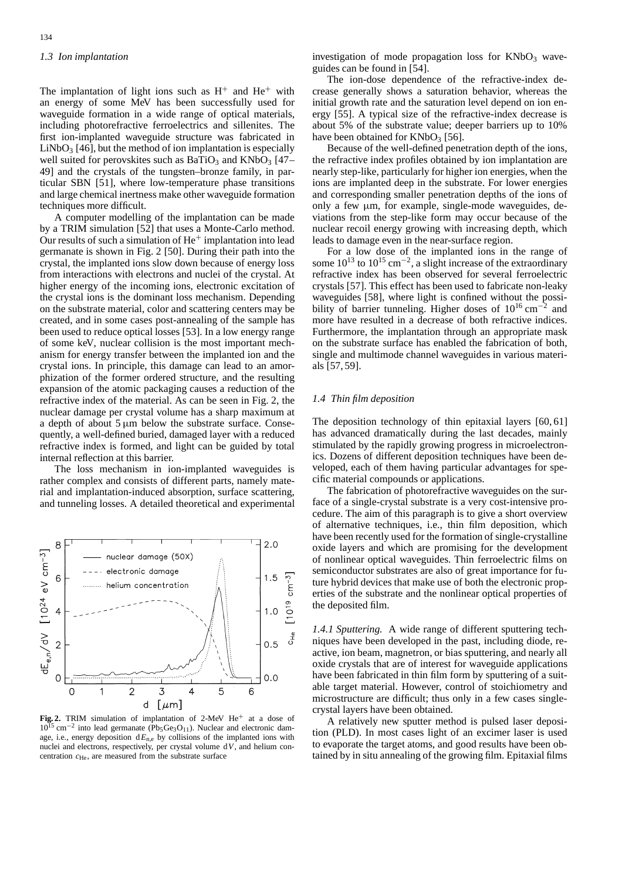## *1.3 Ion implantation*

The implantation of light ions such as  $H^+$  and  $He^+$  with an energy of some MeV has been successfully used for waveguide formation in a wide range of optical materials, including photorefractive ferroelectrics and sillenites. The first ion-implanted waveguide structure was fabricated in  $LiNbO<sub>3</sub>$  [46], but the method of ion implantation is especially well suited for perovskites such as  $BaTiO<sub>3</sub>$  and  $KNbO<sub>3</sub>$  [47– 49] and the crystals of the tungsten–bronze family, in particular SBN [51], where low-temperature phase transitions and large chemical inertness make other waveguide formation techniques more difficult.

A computer modelling of the implantation can be made by a TRIM simulation [52] that uses a Monte-Carlo method. Our results of such a simulation of  $He<sup>+</sup>$  implantation into lead germanate is shown in Fig. 2 [50]. During their path into the crystal, the implanted ions slow down because of energy loss from interactions with electrons and nuclei of the crystal. At higher energy of the incoming ions, electronic excitation of the crystal ions is the dominant loss mechanism. Depending on the substrate material, color and scattering centers may be created, and in some cases post-annealing of the sample has been used to reduce optical losses [53]. In a low energy range of some keV, nuclear collision is the most important mechanism for energy transfer between the implanted ion and the crystal ions. In principle, this damage can lead to an amorphization of the former ordered structure, and the resulting expansion of the atomic packaging causes a reduction of the refractive index of the material. As can be seen in Fig. 2, the nuclear damage per crystal volume has a sharp maximum at a depth of about  $5 \mu m$  below the substrate surface. Consequently, a well-defined buried, damaged layer with a reduced refractive index is formed, and light can be guided by total internal reflection at this barrier.

The loss mechanism in ion-implanted waveguides is rather complex and consists of different parts, namely material and implantation-induced absorption, surface scattering, and tunneling losses. A detailed theoretical and experimental



Fig. 2. TRIM simulation of implantation of 2-MeV He<sup>+</sup> at a dose of  $10^{15}$  cm<sup>-2</sup> into lead germanate (Pb<sub>5</sub>Ge<sub>3</sub>O<sub>11</sub>). Nuclear and electronic damage, i.e., energy deposition  $dE_{n,e}$  by collisions of the implanted ions with nuclei and electrons, respectively, per crystal volume d*V*, and helium concentration *c*He, are measured from the substrate surface

investigation of mode propagation loss for  $KNbO<sub>3</sub>$  waveguides can be found in [54].

The ion-dose dependence of the refractive-index decrease generally shows a saturation behavior, whereas the initial growth rate and the saturation level depend on ion energy [55]. A typical size of the refractive-index decrease is about 5% of the substrate value; deeper barriers up to 10% have been obtained for  $KNbO<sub>3</sub>$  [56].

Because of the well-defined penetration depth of the ions, the refractive index profiles obtained by ion implantation are nearly step-like, particularly for higher ion energies, when the ions are implanted deep in the substrate. For lower energies and corresponding smaller penetration depths of the ions of only a few  $\mu$ m, for example, single-mode waveguides, deviations from the step-like form may occur because of the nuclear recoil energy growing with increasing depth, which leads to damage even in the near-surface region.

For a low dose of the implanted ions in the range of some  $10^{13}$  to  $10^{15}$  cm<sup>-2</sup>, a slight increase of the extraordinary refractive index has been observed for several ferroelectric crystals [57]. This effect has been used to fabricate non-leaky waveguides [58], where light is confined without the possibility of barrier tunneling. Higher doses of  $10^{16}$  cm<sup>-2</sup> and more have resulted in a decrease of both refractive indices. Furthermore, the implantation through an appropriate mask on the substrate surface has enabled the fabrication of both, single and multimode channel waveguides in various materials [57, 59].

# *1.4 Thin film deposition*

The deposition technology of thin epitaxial layers [60, 61] has advanced dramatically during the last decades, mainly stimulated by the rapidly growing progress in microelectronics. Dozens of different deposition techniques have been developed, each of them having particular advantages for specific material compounds or applications.

The fabrication of photorefractive waveguides on the surface of a single-crystal substrate is a very cost-intensive procedure. The aim of this paragraph is to give a short overview of alternative techniques, i.e., thin film deposition, which have been recently used for the formation of single-crystalline oxide layers and which are promising for the development of nonlinear optical waveguides. Thin ferroelectric films on semiconductor substrates are also of great importance for future hybrid devices that make use of both the electronic properties of the substrate and the nonlinear optical properties of the deposited film.

*1.4.1 Sputtering.* A wide range of different sputtering techniques have been developed in the past, including diode, reactive, ion beam, magnetron, or bias sputtering, and nearly all oxide crystals that are of interest for waveguide applications have been fabricated in thin film form by sputtering of a suitable target material. However, control of stoichiometry and microstructure are difficult; thus only in a few cases singlecrystal layers have been obtained.

A relatively new sputter method is pulsed laser deposition (PLD). In most cases light of an excimer laser is used to evaporate the target atoms, and good results have been obtained by in situ annealing of the growing film. Epitaxial films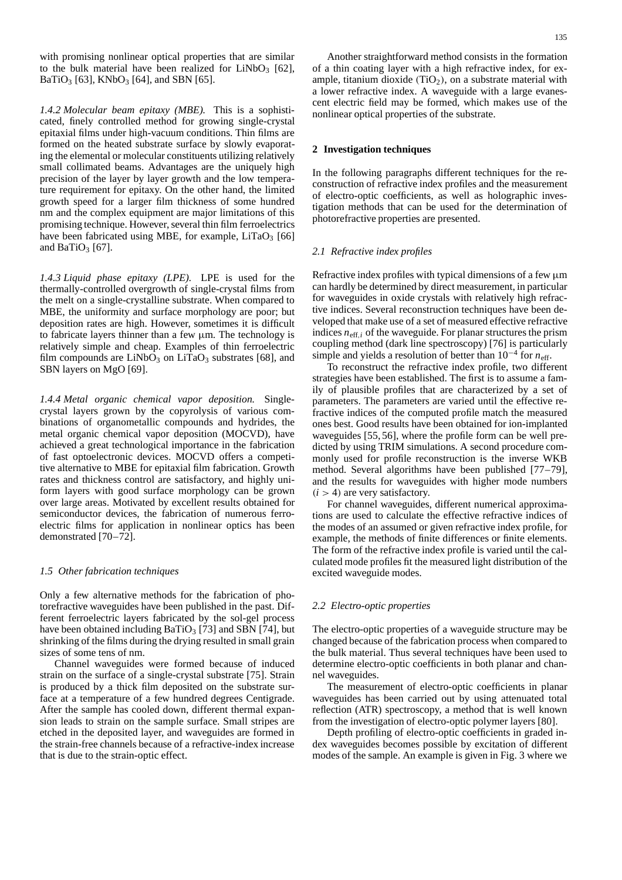with promising nonlinear optical properties that are similar to the bulk material have been realized for  $LiNbO<sub>3</sub>$  [62], BaTiO<sub>3</sub> [63], KNbO<sub>3</sub> [64], and SBN [65].

*1.4.2 Molecular beam epitaxy (MBE).* This is a sophisticated, finely controlled method for growing single-crystal epitaxial films under high-vacuum conditions. Thin films are formed on the heated substrate surface by slowly evaporating the elemental or molecular constituents utilizing relatively small collimated beams. Advantages are the uniquely high precision of the layer by layer growth and the low temperature requirement for epitaxy. On the other hand, the limited growth speed for a larger film thickness of some hundred nm and the complex equipment are major limitations of this promising technique. However, several thin film ferroelectrics have been fabricated using MBE, for example,  $LiTaO<sub>3</sub>$  [66] and BaTiO<sub>3</sub> [67].

*1.4.3 Liquid phase epitaxy (LPE).* LPE is used for the thermally-controlled overgrowth of single-crystal films from the melt on a single-crystalline substrate. When compared to MBE, the uniformity and surface morphology are poor; but deposition rates are high. However, sometimes it is difficult to fabricate layers thinner than a few  $\mu$ m. The technology is relatively simple and cheap. Examples of thin ferroelectric film compounds are LiNbO<sub>3</sub> on LiTaO<sub>3</sub> substrates [68], and SBN layers on MgO [69].

*1.4.4 Metal organic chemical vapor deposition.* Singlecrystal layers grown by the copyrolysis of various combinations of organometallic compounds and hydrides, the metal organic chemical vapor deposition (MOCVD), have achieved a great technological importance in the fabrication of fast optoelectronic devices. MOCVD offers a competitive alternative to MBE for epitaxial film fabrication. Growth rates and thickness control are satisfactory, and highly uniform layers with good surface morphology can be grown over large areas. Motivated by excellent results obtained for semiconductor devices, the fabrication of numerous ferroelectric films for application in nonlinear optics has been demonstrated [70–72].

#### *1.5 Other fabrication techniques*

Only a few alternative methods for the fabrication of photorefractive waveguides have been published in the past. Different ferroelectric layers fabricated by the sol-gel process have been obtained including  $BaTiO<sub>3</sub>$  [73] and SBN [74], but shrinking of the films during the drying resulted in small grain sizes of some tens of nm.

Channel waveguides were formed because of induced strain on the surface of a single-crystal substrate [75]. Strain is produced by a thick film deposited on the substrate surface at a temperature of a few hundred degrees Centigrade. After the sample has cooled down, different thermal expansion leads to strain on the sample surface. Small stripes are etched in the deposited layer, and waveguides are formed in the strain-free channels because of a refractive-index increase that is due to the strain-optic effect.

Another straightforward method consists in the formation of a thin coating layer with a high refractive index, for example, titanium dioxide  $(TiO<sub>2</sub>)$ , on a substrate material with a lower refractive index. A waveguide with a large evanescent electric field may be formed, which makes use of the nonlinear optical properties of the substrate.

# **2 Investigation techniques**

In the following paragraphs different techniques for the reconstruction of refractive index profiles and the measurement of electro-optic coefficients, as well as holographic investigation methods that can be used for the determination of photorefractive properties are presented.

# *2.1 Refractive index profiles*

Refractive index profiles with typical dimensions of a few  $\mu$ m can hardly be determined by direct measurement, in particular for waveguides in oxide crystals with relatively high refractive indices. Several reconstruction techniques have been developed that make use of a set of measured effective refractive indices  $n_{\text{eff},i}$  of the waveguide. For planar structures the prism coupling method (dark line spectroscopy) [76] is particularly simple and yields a resolution of better than 10<sup>-4</sup> for *n*<sub>eff</sub>.

To reconstruct the refractive index profile, two different strategies have been established. The first is to assume a family of plausible profiles that are characterized by a set of parameters. The parameters are varied until the effective refractive indices of the computed profile match the measured ones best. Good results have been obtained for ion-implanted waveguides [55, 56], where the profile form can be well predicted by using TRIM simulations. A second procedure commonly used for profile reconstruction is the inverse WKB method. Several algorithms have been published [77–79], and the results for waveguides with higher mode numbers  $(i > 4)$  are very satisfactory.

For channel waveguides, different numerical approximations are used to calculate the effective refractive indices of the modes of an assumed or given refractive index profile, for example, the methods of finite differences or finite elements. The form of the refractive index profile is varied until the calculated mode profiles fit the measured light distribution of the excited waveguide modes.

#### *2.2 Electro-optic properties*

The electro-optic properties of a waveguide structure may be changed because of the fabrication process when compared to the bulk material. Thus several techniques have been used to determine electro-optic coefficients in both planar and channel waveguides.

The measurement of electro-optic coefficients in planar waveguides has been carried out by using attenuated total reflection (ATR) spectroscopy, a method that is well known from the investigation of electro-optic polymer layers [80].

Depth profiling of electro-optic coefficients in graded index waveguides becomes possible by excitation of different modes of the sample. An example is given in Fig. 3 where we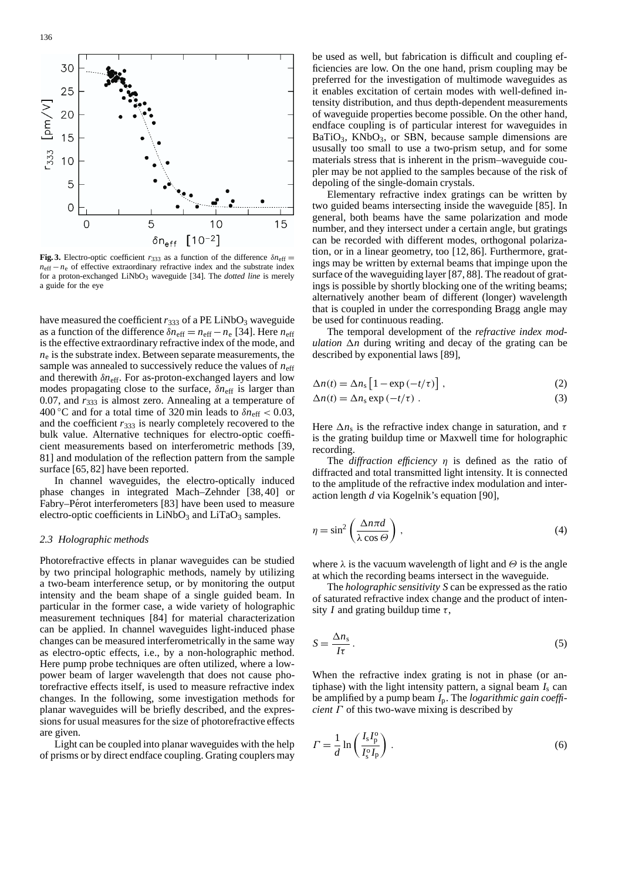

**Fig. 3.** Electro-optic coefficient  $r_{333}$  as a function of the difference  $\delta n_{\text{eff}} =$  $n_{\text{eff}} - n_{\text{e}}$  of effective extraordinary refractive index and the substrate index for a proton-exchanged LiNbO3 waveguide [34]. The *dotted line* is merely a guide for the eye

have measured the coefficient  $r_{333}$  of a PE LiNbO<sub>3</sub> waveguide as a function of the difference  $\delta n_{\text{eff}} = n_{\text{eff}} - n_{\text{e}}$  [34]. Here  $n_{\text{eff}}$ is the effective extraordinary refractive index of the mode, and  $n_e$  is the substrate index. Between separate measurements, the sample was annealed to successively reduce the values of  $n_{\text{eff}}$ and therewith *δn*eff. For as-proton-exchanged layers and low modes propagating close to the surface,  $δn_{\text{eff}}$  is larger than 0.07, and  $r_{333}$  is almost zero. Annealing at a temperature of 400 °C and for a total time of 320 min leads to  $\delta n_{\text{eff}} < 0.03$ , and the coefficient  $r_{333}$  is nearly completely recovered to the bulk value. Alternative techniques for electro-optic coefficient measurements based on interferometric methods [39, 81] and modulation of the reflection pattern from the sample surface [65, 82] have been reported.

In channel waveguides, the electro-optically induced phase changes in integrated Mach–Zehnder [38, 40] or Fabry–Pérot interferometers [83] have been used to measure electro-optic coefficients in  $LiNbO<sub>3</sub>$  and  $LiTaO<sub>3</sub>$  samples.

#### *2.3 Holographic methods*

Photorefractive effects in planar waveguides can be studied by two principal holographic methods, namely by utilizing a two-beam interference setup, or by monitoring the output intensity and the beam shape of a single guided beam. In particular in the former case, a wide variety of holographic measurement techniques [84] for material characterization can be applied. In channel waveguides light-induced phase changes can be measured interferometrically in the same way as electro-optic effects, i.e., by a non-holographic method. Here pump probe techniques are often utilized, where a lowpower beam of larger wavelength that does not cause photorefractive effects itself, is used to measure refractive index changes. In the following, some investigation methods for planar waveguides will be briefly described, and the expressions for usual measures for the size of photorefractive effects are given.

Light can be coupled into planar waveguides with the help of prisms or by direct endface coupling. Grating couplers may

be used as well, but fabrication is difficult and coupling efficiencies are low. On the one hand, prism coupling may be preferred for the investigation of multimode waveguides as it enables excitation of certain modes with well-defined intensity distribution, and thus depth-dependent measurements of waveguide properties become possible. On the other hand, endface coupling is of particular interest for waveguides in  $BaTiO<sub>3</sub>$ , KNb $O<sub>3</sub>$ , or SBN, because sample dimensions are ususally too small to use a two-prism setup, and for some materials stress that is inherent in the prism–waveguide coupler may be not applied to the samples because of the risk of depoling of the single-domain crystals.

Elementary refractive index gratings can be written by two guided beams intersecting inside the waveguide [85]. In general, both beams have the same polarization and mode number, and they intersect under a certain angle, but gratings can be recorded with different modes, orthogonal polarization, or in a linear geometry, too [12, 86]. Furthermore, gratings may be written by external beams that impinge upon the surface of the waveguiding layer [87, 88]. The readout of gratings is possible by shortly blocking one of the writing beams; alternatively another beam of different (longer) wavelength that is coupled in under the corresponding Bragg angle may be used for continuous reading.

The temporal development of the *refractive index modulation* ∆*n* during writing and decay of the grating can be described by exponential laws [89],

$$
\Delta n(t) = \Delta n_s \left[ 1 - \exp\left(-t/\tau\right) \right],\tag{2}
$$

$$
\Delta n(t) = \Delta n_s \exp(-t/\tau) \tag{3}
$$

Here ∆*n*<sup>s</sup> is the refractive index change in saturation, and *τ* is the grating buildup time or Maxwell time for holographic recording.

The *diffraction efficiency η* is defined as the ratio of diffracted and total transmitted light intensity. It is connected to the amplitude of the refractive index modulation and interaction length *d* via Kogelnik's equation [90],

$$
\eta = \sin^2\left(\frac{\Delta n \pi d}{\lambda \cos \Theta}\right),\tag{4}
$$

where *λ* is the vacuum wavelength of light and *Θ* is the angle at which the recording beams intersect in the waveguide.

The *holographic sensitivity S* can be expressed as the ratio of saturated refractive index change and the product of intensity *I* and grating buildup time *τ*,

$$
S = \frac{\Delta n_s}{I\tau} \,. \tag{5}
$$

When the refractive index grating is not in phase (or antiphase) with the light intensity pattern, a signal beam *I*<sup>s</sup> can be amplified by a pump beam *I*p. The *logarithmic gain coefficient Γ* of this two-wave mixing is described by

$$
\Gamma = \frac{1}{d} \ln \left( \frac{I_s I_p^0}{I_s^0 I_p} \right). \tag{6}
$$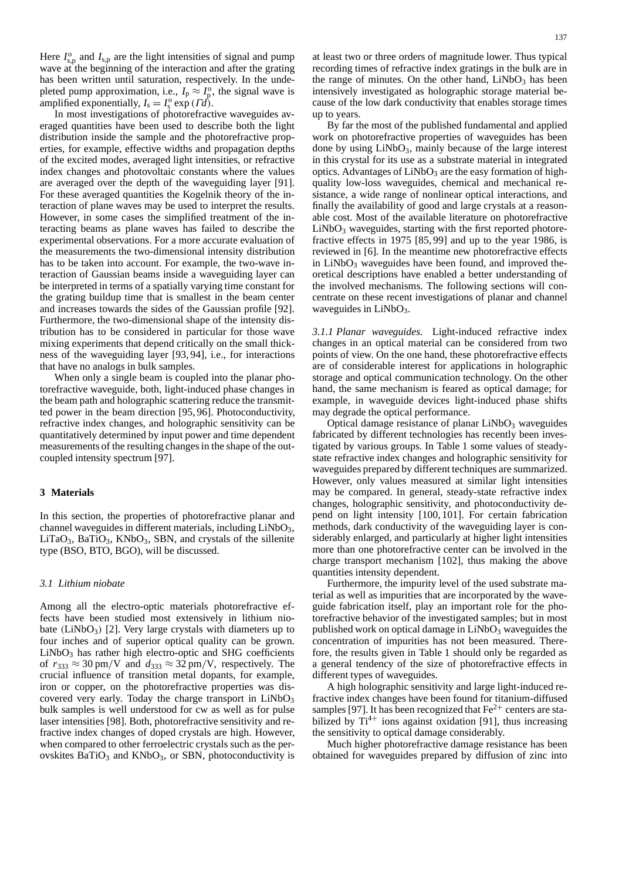Here  $I_{s,p}^{\text{o}}$  and  $I_{s,p}$  are the light intensities of signal and pump wave at the beginning of the interaction and after the grating has been written until saturation, respectively. In the undepleted pump approximation, i.e.,  $I_p \approx I_p^0$ , the signal wave is amplified exponentially,  $I_s = I_s^o \exp(\Gamma d)$ .

In most investigations of photorefractive waveguides averaged quantities have been used to describe both the light distribution inside the sample and the photorefractive properties, for example, effective widths and propagation depths of the excited modes, averaged light intensities, or refractive index changes and photovoltaic constants where the values are averaged over the depth of the waveguiding layer [91]. For these averaged quantities the Kogelnik theory of the interaction of plane waves may be used to interpret the results. However, in some cases the simplified treatment of the interacting beams as plane waves has failed to describe the experimental observations. For a more accurate evaluation of the measurements the two-dimensional intensity distribution has to be taken into account. For example, the two-wave interaction of Gaussian beams inside a waveguiding layer can be interpreted in terms of a spatially varying time constant for the grating buildup time that is smallest in the beam center and increases towards the sides of the Gaussian profile [92]. Furthermore, the two-dimensional shape of the intensity distribution has to be considered in particular for those wave mixing experiments that depend critically on the small thickness of the waveguiding layer [93, 94], i.e., for interactions that have no analogs in bulk samples.

When only a single beam is coupled into the planar photorefractive waveguide, both, light-induced phase changes in the beam path and holographic scattering reduce the transmitted power in the beam direction [95, 96]. Photoconductivity, refractive index changes, and holographic sensitivity can be quantitatively determined by input power and time dependent measurements of the resulting changes in the shape of the outcoupled intensity spectrum [97].

#### **3 Materials**

In this section, the properties of photorefractive planar and channel waveguides in different materials, including  $LiNbO<sub>3</sub>$ ,  $LiTaO<sub>3</sub>$ , BaTiO<sub>3</sub>, KNbO<sub>3</sub>, SBN, and crystals of the sillenite type (BSO, BTO, BGO), will be discussed.

## *3.1 Lithium niobate*

Among all the electro-optic materials photorefractive effects have been studied most extensively in lithium niobate *(*LiNbO3*)* [2]. Very large crystals with diameters up to four inches and of superior optical quality can be grown.  $LiNbO<sub>3</sub>$  has rather high electro-optic and SHG coefficients of  $r_{333} \approx 30 \text{ pm/V}$  and  $d_{333} \approx 32 \text{ pm/V}$ , respectively. The crucial influence of transition metal dopants, for example, iron or copper, on the photorefractive properties was discovered very early. Today the charge transport in  $LiNbO<sub>3</sub>$ bulk samples is well understood for cw as well as for pulse laser intensities [98]. Both, photorefractive sensitivity and refractive index changes of doped crystals are high. However, when compared to other ferroelectric crystals such as the perovskites  $BaTiO<sub>3</sub>$  and KNbO<sub>3</sub>, or SBN, photoconductivity is

at least two or three orders of magnitude lower. Thus typical recording times of refractive index gratings in the bulk are in the range of minutes. On the other hand,  $LiNbO<sub>3</sub>$  has been intensively investigated as holographic storage material because of the low dark conductivity that enables storage times up to years.

By far the most of the published fundamental and applied work on photorefractive properties of waveguides has been done by using  $LiNbO<sub>3</sub>$ , mainly because of the large interest in this crystal for its use as a substrate material in integrated optics. Advantages of  $LiNbO<sub>3</sub>$  are the easy formation of highquality low-loss waveguides, chemical and mechanical resistance, a wide range of nonlinear optical interactions, and finally the availability of good and large crystals at a reasonable cost. Most of the available literature on photorefractive  $LiNbO<sub>3</sub>$  waveguides, starting with the first reported photorefractive effects in 1975 [85, 99] and up to the year 1986, is reviewed in [6]. In the meantime new photorefractive effects in  $LiNbO<sub>3</sub>$  waveguides have been found, and improved theoretical descriptions have enabled a better understanding of the involved mechanisms. The following sections will concentrate on these recent investigations of planar and channel waveguides in  $LiNbO<sub>3</sub>$ .

*3.1.1 Planar waveguides.* Light-induced refractive index changes in an optical material can be considered from two points of view. On the one hand, these photorefractive effects are of considerable interest for applications in holographic storage and optical communication technology. On the other hand, the same mechanism is feared as optical damage; for example, in waveguide devices light-induced phase shifts may degrade the optical performance.

Optical damage resistance of planar  $LiNbO<sub>3</sub>$  waveguides fabricated by different technologies has recently been investigated by various groups. In Table 1 some values of steadystate refractive index changes and holographic sensitivity for waveguides prepared by different techniques are summarized. However, only values measured at similar light intensities may be compared. In general, steady-state refractive index changes, holographic sensitivity, and photoconductivity depend on light intensity [100, 101]. For certain fabrication methods, dark conductivity of the waveguiding layer is considerably enlarged, and particularly at higher light intensities more than one photorefractive center can be involved in the charge transport mechanism [102], thus making the above quantities intensity dependent.

Furthermore, the impurity level of the used substrate material as well as impurities that are incorporated by the waveguide fabrication itself, play an important role for the photorefractive behavior of the investigated samples; but in most published work on optical damage in  $LiNbO<sub>3</sub>$  waveguides the concentration of impurities has not been measured. Therefore, the results given in Table 1 should only be regarded as a general tendency of the size of photorefractive effects in different types of waveguides.

A high holographic sensitivity and large light-induced refractive index changes have been found for titanium-diffused samples [97]. It has been recognized that  $Fe^{2+}$  centers are stabilized by  $Ti^{4+}$  ions against oxidation [91], thus increasing the sensitivity to optical damage considerably.

Much higher photorefractive damage resistance has been obtained for waveguides prepared by diffusion of zinc into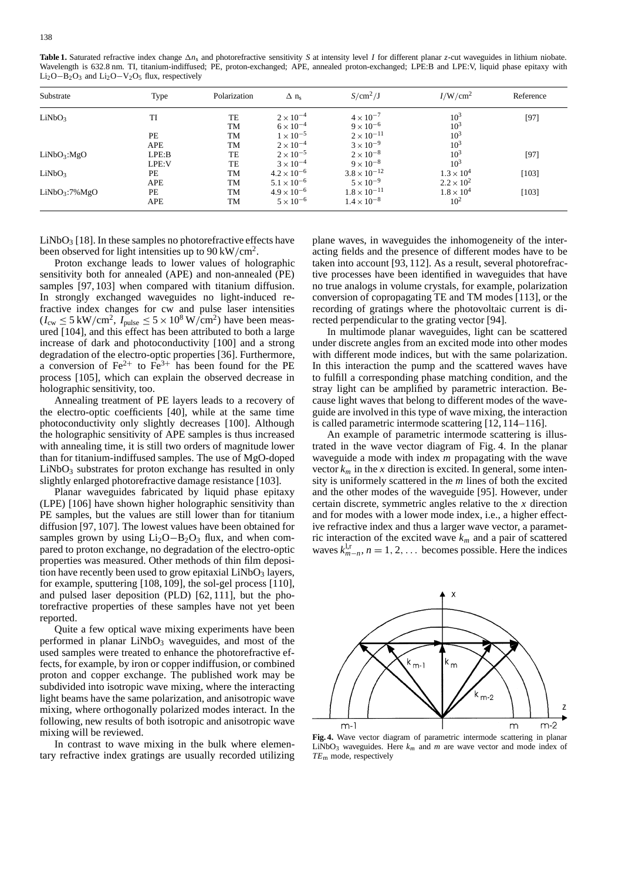Table 1. Saturated refractive index change Δ*n*<sub>s</sub> and photorefractive sensitivity *S* at intensity level *I* for different planar *z*-cut waveguides in lithium niobate. Wavelength is 632*.*8 nm. TI, titanium-indiffused; PE, proton-exchanged; APE, annealed proton-exchanged; LPE:B and LPE:V, liquid phase epitaxy with Li<sub>2</sub>O−B<sub>2</sub>O<sub>3</sub> and Li<sub>2</sub>O−V<sub>2</sub>O<sub>5</sub> flux, respectively

| Substrate                 | Type       | Polarization | $\Delta$ n <sub>s</sub> | $S/cm^2/J$            | $I/W/cm^2$          | Reference |
|---------------------------|------------|--------------|-------------------------|-----------------------|---------------------|-----------|
| LiNbO <sub>3</sub>        | TI         | <b>TE</b>    | $2 \times 10^{-4}$      | $4 \times 10^{-7}$    | $10^3$              | $[97]$    |
|                           |            | <b>TM</b>    | $6 \times 10^{-4}$      | $9 \times 10^{-6}$    | $10^3$              |           |
|                           | PE         | TM           | $1 \times 10^{-5}$      | $2 \times 10^{-11}$   | $10^3$              |           |
|                           | APE        | TM           | $2 \times 10^{-4}$      | $3 \times 10^{-9}$    | $10^3$              |           |
| LiNbO <sub>3</sub> :MgO   | LPE:B      | <b>TE</b>    | $2 \times 10^{-5}$      | $2 \times 10^{-8}$    | $10^{3}$            | $[97]$    |
|                           | LPE:V      | TE           | $3 \times 10^{-4}$      | $9 \times 10^{-8}$    | $10^{3}$            |           |
| LiNbO <sub>3</sub>        | PE         | TM           | $4.2 \times 10^{-6}$    | $3.8 \times 10^{-12}$ | $1.3 \times 10^{4}$ | [103]     |
|                           | <b>APE</b> | TM           | $5.1 \times 10^{-6}$    | $5 \times 10^{-9}$    | $2.2 \times 10^{2}$ |           |
| LiNbO <sub>3</sub> :7%MgO | PE         | TM           | $4.9 \times 10^{-6}$    | $1.8 \times 10^{-11}$ | $1.8 \times 10^{4}$ | [103]     |
|                           | <b>APE</b> | TM           | $5 \times 10^{-6}$      | $1.4 \times 10^{-8}$  | $10^2$              |           |

 $LiNbO<sub>3</sub>$  [18]. In these samples no photorefractive effects have been observed for light intensities up to 90 kW*/*cm2.

Proton exchange leads to lower values of holographic sensitivity both for annealed (APE) and non-annealed (PE) samples [97, 103] when compared with titanium diffusion. In strongly exchanged waveguides no light-induced refractive index changes for cw and pulse laser intensities  $(I_{\text{cw}} \leq 5 \text{ kW/cm}^2$ ,  $I_{\text{pulse}} \leq 5 \times 10^8 \text{ W/cm}^2$ ) have been measured [104], and this effect has been attributed to both a large increase of dark and photoconductivity [100] and a strong degradation of the electro-optic properties [36]. Furthermore, a conversion of  $Fe^{2+}$  to  $Fe^{3+}$  has been found for the PE process [105], which can explain the observed decrease in holographic sensitivity, too.

Annealing treatment of PE layers leads to a recovery of the electro-optic coefficients [40], while at the same time photoconductivity only slightly decreases [100]. Although the holographic sensitivity of APE samples is thus increased with annealing time, it is still two orders of magnitude lower than for titanium-indiffused samples. The use of MgO-doped  $LiNbO<sub>3</sub>$  substrates for proton exchange has resulted in only slightly enlarged photorefractive damage resistance [103].

Planar waveguides fabricated by liquid phase epitaxy (LPE) [106] have shown higher holographic sensitivity than PE samples, but the values are still lower than for titanium diffusion [97, 107]. The lowest values have been obtained for samples grown by using  $Li<sub>2</sub>O-B<sub>2</sub>O<sub>3</sub>$  flux, and when compared to proton exchange, no degradation of the electro-optic properties was measured. Other methods of thin film deposition have recently been used to grow epitaxial  $LiNbO<sub>3</sub>$  layers, for example, sputtering [108, 109], the sol-gel process [110], and pulsed laser deposition (PLD) [62, 111], but the photorefractive properties of these samples have not yet been reported.

Quite a few optical wave mixing experiments have been performed in planar  $LiNbO<sub>3</sub>$  waveguides, and most of the used samples were treated to enhance the photorefractive effects, for example, by iron or copper indiffusion, or combined proton and copper exchange. The published work may be subdivided into isotropic wave mixing, where the interacting light beams have the same polarization, and anisotropic wave mixing, where orthogonally polarized modes interact. In the following, new results of both isotropic and anisotropic wave mixing will be reviewed.

In contrast to wave mixing in the bulk where elementary refractive index gratings are usually recorded utilizing plane waves, in waveguides the inhomogeneity of the interacting fields and the presence of different modes have to be taken into account [93, 112]. As a result, several photorefractive processes have been identified in waveguides that have no true analogs in volume crystals, for example, polarization conversion of copropagating TE and TM modes [113], or the recording of gratings where the photovoltaic current is directed perpendicular to the grating vector [94].

In multimode planar waveguides, light can be scattered under discrete angles from an excited mode into other modes with different mode indices, but with the same polarization. In this interaction the pump and the scattered waves have to fulfill a corresponding phase matching condition, and the stray light can be amplified by parametric interaction. Because light waves that belong to different modes of the waveguide are involved in this type of wave mixing, the interaction is called parametric intermode scattering [12, 114–116].

An example of parametric intermode scattering is illustrated in the wave vector diagram of Fig. 4. In the planar waveguide a mode with index *m* propagating with the wave vector  $k_m$  in the *x* direction is excited. In general, some intensity is uniformely scattered in the *m* lines of both the excited and the other modes of the waveguide [95]. However, under certain discrete, symmetric angles relative to the *x* direction and for modes with a lower mode index, i.e., a higher effective refractive index and thus a larger wave vector, a parametric interaction of the excited wave *km* and a pair of scattered waves  $k_{m-n}^{1,r}$ ,  $n = 1, 2, \ldots$  becomes possible. Here the indices



**Fig. 4.** Wave vector diagram of parametric intermode scattering in planar LiNbO<sub>3</sub> waveguides. Here  $k_m$  and  $m$  are wave vector and mode index of *TE*<sup>m</sup> mode, respectively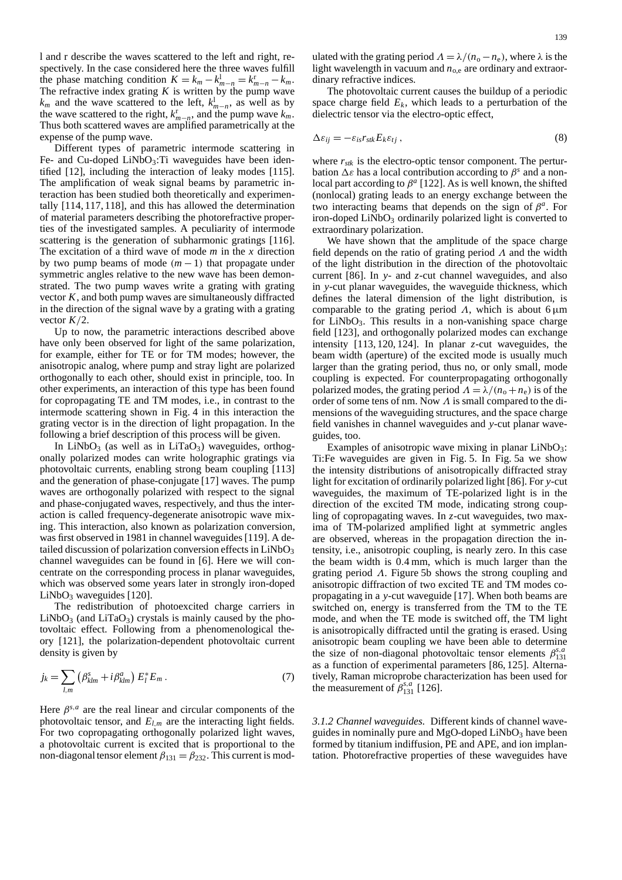l and r describe the waves scattered to the left and right, respectively. In the case considered here the three waves fulfill the phase matching condition  $K = k_m - k_{m-n}^1 = k_{m-n}^r - k_m$ . The refractive index grating  $K$  is written by the pump wave  $k_m$  and the wave scattered to the left,  $k_{m-n}^1$ , as well as by the wave scattered to the right,  $k_{m-n}^r$ , and the pump wave  $k_m$ . Thus both scattered waves are amplified parametrically at the expense of the pump wave.

Different types of parametric intermode scattering in Fe- and Cu-doped  $LiNbO<sub>3</sub>:Ti$  waveguides have been identified [12], including the interaction of leaky modes [115]. The amplification of weak signal beams by parametric interaction has been studied both theoretically and experimentally [114, 117, 118], and this has allowed the determination of material parameters describing the photorefractive properties of the investigated samples. A peculiarity of intermode scattering is the generation of subharmonic gratings [116]. The excitation of a third wave of mode *m* in the *x* direction by two pump beams of mode  $(m - 1)$  that propagate under symmetric angles relative to the new wave has been demonstrated. The two pump waves write a grating with grating vector *K*, and both pump waves are simultaneously diffracted in the direction of the signal wave by a grating with a grating vector *K/*2.

Up to now, the parametric interactions described above have only been observed for light of the same polarization, for example, either for TE or for TM modes; however, the anisotropic analog, where pump and stray light are polarized orthogonally to each other, should exist in principle, too. In other experiments, an interaction of this type has been found for copropagating TE and TM modes, i.e., in contrast to the intermode scattering shown in Fig. 4 in this interaction the grating vector is in the direction of light propagation. In the following a brief description of this process will be given.

In LiNbO<sub>3</sub> (as well as in LiTaO<sub>3</sub>) waveguides, orthogonally polarized modes can write holographic gratings via photovoltaic currents, enabling strong beam coupling [113] and the generation of phase-conjugate [17] waves. The pump waves are orthogonally polarized with respect to the signal and phase-conjugated waves, respectively, and thus the interaction is called frequency-degenerate anisotropic wave mixing. This interaction, also known as polarization conversion, was first observed in 1981 in channel waveguides [119]. A detailed discussion of polarization conversion effects in  $LiNbO<sub>3</sub>$ channel waveguides can be found in [6]. Here we will concentrate on the corresponding process in planar waveguides, which was observed some years later in strongly iron-doped LiNbO<sub>3</sub> waveguides  $[120]$ .

The redistribution of photoexcited charge carriers in  $LiNbO<sub>3</sub>$  (and  $LiTaO<sub>3</sub>$ ) crystals is mainly caused by the photovoltaic effect. Following from a phenomenological theory [121], the polarization-dependent photovoltaic current density is given by

$$
j_k = \sum_{l,m} \left( \beta_{klm}^s + i \beta_{klm}^a \right) E_l^* E_m \,. \tag{7}
$$

Here  $\beta^{s,a}$  are the real linear and circular components of the photovoltaic tensor, and *El,<sup>m</sup>* are the interacting light fields. For two copropagating orthogonally polarized light waves, a photovoltaic current is excited that is proportional to the non-diagonal tensor element  $\beta_{131} = \beta_{232}$ . This current is mod-

The photovoltaic current causes the buildup of a periodic space charge field  $E_k$ , which leads to a perturbation of the dielectric tensor via the electro-optic effect,

$$
\Delta \varepsilon_{ij} = -\varepsilon_{is} r_{stk} E_k \varepsilon_{tj} , \qquad (8)
$$

where  $r_{\text{stk}}$  is the electro-optic tensor component. The perturbation  $\Delta \varepsilon$  has a local contribution according to  $\beta^s$  and a nonlocal part according to  $\beta^a$  [122]. As is well known, the shifted (nonlocal) grating leads to an energy exchange between the two interacting beams that depends on the sign of *βa*. For iron-doped  $LiNbO<sub>3</sub>$  ordinarily polarized light is converted to extraordinary polarization.

We have shown that the amplitude of the space charge field depends on the ratio of grating period *Λ* and the width of the light distribution in the direction of the photovoltaic current [86]. In *y*- and *z*-cut channel waveguides, and also in *y*-cut planar waveguides, the waveguide thickness, which defines the lateral dimension of the light distribution, is comparable to the grating period  $Λ$ , which is about 6  $μm$ for  $LiNbO<sub>3</sub>$ . This results in a non-vanishing space charge field [123], and orthogonally polarized modes can exchange intensity [113, 120, 124]. In planar *z*-cut waveguides, the beam width (aperture) of the excited mode is usually much larger than the grating period, thus no, or only small, mode coupling is expected. For counterpropagating orthogonally polarized modes, the grating period  $\Lambda = \lambda/(n_0 + n_e)$  is of the order of some tens of nm. Now *Λ* is small compared to the dimensions of the waveguiding structures, and the space charge field vanishes in channel waveguides and *y*-cut planar waveguides, too.

Examples of anisotropic wave mixing in planar  $LiNbO<sub>3</sub>$ : Ti:Fe waveguides are given in Fig. 5. In Fig. 5a we show the intensity distributions of anisotropically diffracted stray light for excitation of ordinarily polarized light [86]. For *y*-cut waveguides, the maximum of TE-polarized light is in the direction of the excited TM mode, indicating strong coupling of copropagating waves. In *z*-cut waveguides, two maxima of TM-polarized amplified light at symmetric angles are observed, whereas in the propagation direction the intensity, i.e., anisotropic coupling, is nearly zero. In this case the beam width is 0*.*4 mm, which is much larger than the grating period *Λ*. Figure 5b shows the strong coupling and anisotropic diffraction of two excited TE and TM modes copropagating in a *y*-cut waveguide [17]. When both beams are switched on, energy is transferred from the TM to the TE mode, and when the TE mode is switched off, the TM light is anisotropically diffracted until the grating is erased. Using anisotropic beam coupling we have been able to determine the size of non-diagonal photovoltaic tensor elements  $\beta_{131}^{s,a}$ as a function of experimental parameters [86, 125]. Alternatively, Raman microprobe characterization has been used for the measurement of  $\beta_{131}^{s,a}$  [126].

*3.1.2 Channel waveguides.* Different kinds of channel waveguides in nominally pure and  $MgO$ -doped  $LiNbO<sub>3</sub>$  have been formed by titanium indiffusion, PE and APE, and ion implantation. Photorefractive properties of these waveguides have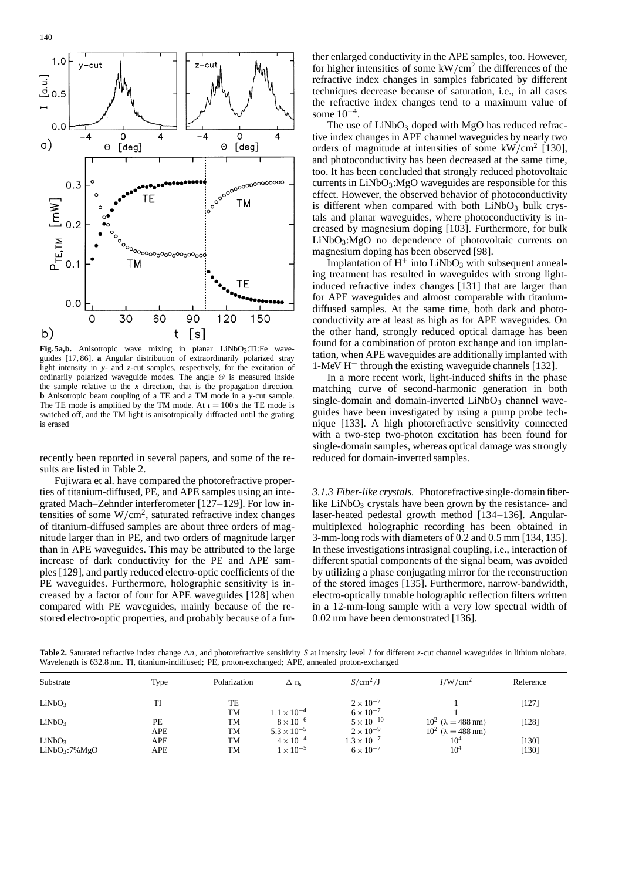

Fig. 5a,b. Anisotropic wave mixing in planar LiNbO<sub>3</sub>:Ti:Fe waveguides [17, 86]. **a** Angular distribution of extraordinarily polarized stray light intensity in *y*- and *z*-cut samples, respectively, for the excitation of ordinarily polarized waveguide modes. The angle *Θ* is measured inside the sample relative to the  $x$  direction, that is the propagation direction. **b** Anisotropic beam coupling of a TE and a TM mode in a *y*-cut sample. The TE mode is amplified by the TM mode. At  $t = 100$  s the TE mode is switched off, and the TM light is anisotropically diffracted until the grating is erased

recently been reported in several papers, and some of the results are listed in Table 2.

Fujiwara et al. have compared the photorefractive properties of titanium-diffused, PE, and APE samples using an integrated Mach–Zehnder interferometer [127–129]. For low intensities of some W*/*cm2, saturated refractive index changes of titanium-diffused samples are about three orders of magnitude larger than in PE, and two orders of magnitude larger than in APE waveguides. This may be attributed to the large increase of dark conductivity for the PE and APE samples [129], and partly reduced electro-optic coefficients of the PE waveguides. Furthermore, holographic sensitivity is increased by a factor of four for APE waveguides [128] when compared with PE waveguides, mainly because of the restored electro-optic properties, and probably because of a fur-

ther enlarged conductivity in the APE samples, too. However, for higher intensities of some kW*/*cm<sup>2</sup> the differences of the refractive index changes in samples fabricated by different techniques decrease because of saturation, i.e., in all cases the refractive index changes tend to a maximum value of some  $10^{-4}$ .

The use of  $LiNbO<sub>3</sub>$  doped with MgO has reduced refractive index changes in APE channel waveguides by nearly two orders of magnitude at intensities of some kW*/*cm<sup>2</sup> [130], and photoconductivity has been decreased at the same time, too. It has been concluded that strongly reduced photovoltaic currents in  $LiNbO<sub>3</sub>:MgO$  waveguides are responsible for this effect. However, the observed behavior of photoconductivity is different when compared with both  $LiNbO<sub>3</sub>$  bulk crystals and planar waveguides, where photoconductivity is increased by magnesium doping [103]. Furthermore, for bulk LiNbO<sub>3</sub>:MgO no dependence of photovoltaic currents on magnesium doping has been observed [98].

Implantation of  $H^+$  into LiNbO<sub>3</sub> with subsequent annealing treatment has resulted in waveguides with strong lightinduced refractive index changes [131] that are larger than for APE waveguides and almost comparable with titaniumdiffused samples. At the same time, both dark and photoconductivity are at least as high as for APE waveguides. On the other hand, strongly reduced optical damage has been found for a combination of proton exchange and ion implantation, when APE waveguides are additionally implanted with 1-MeV  $H^+$  through the existing waveguide channels [132].

In a more recent work, light-induced shifts in the phase matching curve of second-harmonic generation in both single-domain and domain-inverted  $LiNbO<sub>3</sub>$  channel waveguides have been investigated by using a pump probe technique [133]. A high photorefractive sensitivity connected with a two-step two-photon excitation has been found for single-domain samples, whereas optical damage was strongly reduced for domain-inverted samples.

*3.1.3 Fiber-like crystals.* Photorefractive single-domain fiberlike  $LiNbO<sub>3</sub>$  crystals have been grown by the resistance- and laser-heated pedestal growth method [134–136]. Angularmultiplexed holographic recording has been obtained in 3-mm-long rods with diameters of 0.2 and 0*.*5 mm [134, 135]. In these investigations intrasignal coupling, i.e., interaction of different spatial components of the signal beam, was avoided by utilizing a phase conjugating mirror for the reconstruction of the stored images [135]. Furthermore, narrow-bandwidth, electro-optically tunable holographic reflection filters written in a 12-mm-long sample with a very low spectral width of 0*.*02 nm have been demonstrated [136].

**Table 2.** Saturated refractive index change ∆*n*<sup>s</sup> and photorefractive sensitivity *S* at intensity level *I* for different *z*-cut channel waveguides in lithium niobate. Wavelength is 632*.*8 nm. TI, titanium-indiffused; PE, proton-exchanged; APE, annealed proton-exchanged

| Substrate                                       | Type             | Polarization | $\Delta$ n <sub>s</sub>                    | $S/cm^2/J$                                 | I/W/cm <sup>2</sup>                                          | Reference      |
|-------------------------------------------------|------------------|--------------|--------------------------------------------|--------------------------------------------|--------------------------------------------------------------|----------------|
| LiNbO <sub>3</sub>                              | TI               | TE<br>TM     | $1.1 \times 10^{-4}$                       | $2 \times 10^{-7}$<br>$6 \times 10^{-7}$   |                                                              | $[127]$        |
| LiNbO <sub>3</sub>                              | PE<br><b>APE</b> | TM<br>TM     | $8 \times 10^{-6}$<br>$5.3 \times 10^{-5}$ | $5 \times 10^{-10}$<br>$2 \times 10^{-9}$  | $10^2$ ( $\lambda = 488$ nm)<br>$10^2$ ( $\lambda = 488$ nm) | [128]          |
| LiNbO <sub>3</sub><br>LiNbO <sub>3</sub> :7%MgO | APE<br>APE       | TM<br>TM     | $4 \times 10^{-4}$<br>$1 \times 10^{-5}$   | $1.3 \times 10^{-7}$<br>$6 \times 10^{-7}$ | 10 <sup>4</sup><br>$10^{4}$                                  | [130]<br>[130] |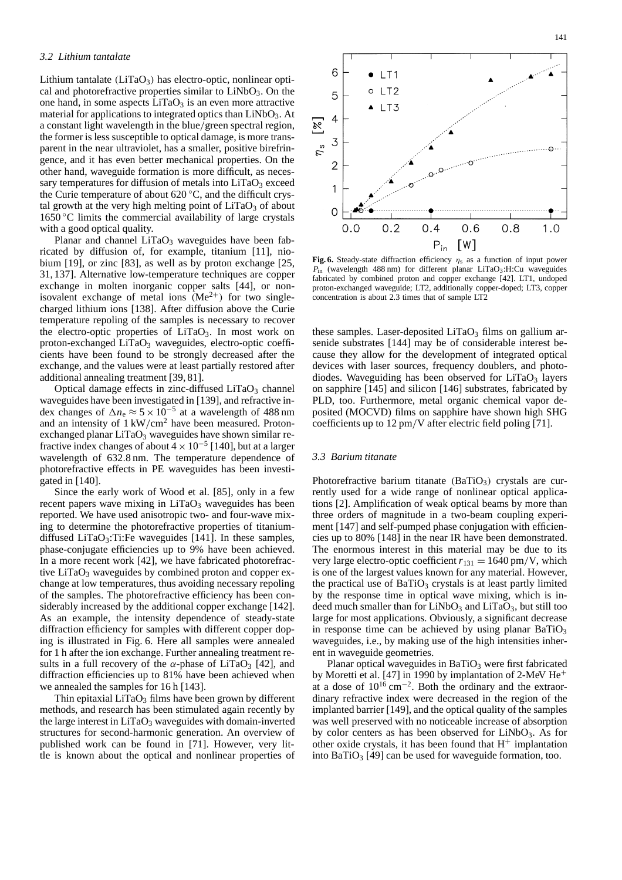Lithium tantalate *(LiTaO<sub>3</sub>)* has electro-optic, nonlinear optical and photorefractive properties similar to  $LiNbO<sub>3</sub>$ . On the one hand, in some aspects  $LiTaO<sub>3</sub>$  is an even more attractive material for applications to integrated optics than  $LiNbO<sub>3</sub>$ . At a constant light wavelength in the blue*/*green spectral region, the former is less susceptible to optical damage, is more transparent in the near ultraviolet, has a smaller, positive birefringence, and it has even better mechanical properties. On the other hand, waveguide formation is more difficult, as necessary temperatures for diffusion of metals into  $LiTaO<sub>3</sub>$  exceed the Curie temperature of about 620 ◦C, and the difficult crystal growth at the very high melting point of  $LiTaO<sub>3</sub>$  of about  $1650\degree$ C limits the commercial availability of large crystals with a good optical quality.

Planar and channel  $LiTaO<sub>3</sub>$  waveguides have been fabricated by diffusion of, for example, titanium [11], niobium [19], or zinc [83], as well as by proton exchange [25, 31, 137]. Alternative low-temperature techniques are copper exchange in molten inorganic copper salts [44], or nonisovalent exchange of metal ions  $(Me^{2+})$  for two singlecharged lithium ions [138]. After diffusion above the Curie temperature repoling of the samples is necessary to recover the electro-optic properties of  $LiTaO<sub>3</sub>$ . In most work on proton-exchanged  $LiTaO<sub>3</sub>$  waveguides, electro-optic coefficients have been found to be strongly decreased after the exchange, and the values were at least partially restored after additional annealing treatment [39, 81].

Optical damage effects in zinc-diffused LiTaO<sub>3</sub> channel waveguides have been investigated in [139], and refractive index changes of  $\Delta n_e \approx 5 \times 10^{-5}$  at a wavelength of 488 nm and an intensity of  $1 \text{ kW/cm}^2$  have been measured. Protonexchanged planar LiTaO<sub>3</sub> waveguides have shown similar refractive index changes of about  $4 \times 10^{-5}$  [140], but at a larger wavelength of 632*.*8 nm. The temperature dependence of photorefractive effects in PE waveguides has been investigated in [140].

Since the early work of Wood et al. [85], only in a few recent papers wave mixing in  $LiTaO<sub>3</sub>$  waveguides has been reported. We have used anisotropic two- and four-wave mixing to determine the photorefractive properties of titaniumdiffused  $LiTaO<sub>3</sub>:Ti:Fe$  waveguides [141]. In these samples, phase-conjugate efficiencies up to 9% have been achieved. In a more recent work [42], we have fabricated photorefractive  $LiTaO<sub>3</sub>$  waveguides by combined proton and copper exchange at low temperatures, thus avoiding necessary repoling of the samples. The photorefractive efficiency has been considerably increased by the additional copper exchange [142]. As an example, the intensity dependence of steady-state diffraction efficiency for samples with different copper doping is illustrated in Fig. 6. Here all samples were annealed for 1 h after the ion exchange. Further annealing treatment results in a full recovery of the  $\alpha$ -phase of LiTaO<sub>3</sub> [42], and diffraction efficiencies up to 81% have been achieved when we annealed the samples for 16 h [143].

Thin epitaxial  $LiTaO<sub>3</sub>$  films have been grown by different methods, and research has been stimulated again recently by the large interest in  $LiTaO<sub>3</sub>$  waveguides with domain-inverted structures for second-harmonic generation. An overview of published work can be found in [71]. However, very little is known about the optical and nonlinear properties of



**Fig. 6.** Steady-state diffraction efficiency *η*<sup>s</sup> as a function of input power *P*in (wavelength 488 nm) for different planar LiTaO3:H:Cu waveguides fabricated by combined proton and copper exchange [42]. LT1, undoped proton-exchanged waveguide; LT2, additionally copper-doped; LT3, copper concentration is about 2.3 times that of sample LT2

these samples. Laser-deposited  $LiTaO<sub>3</sub>$  films on gallium arsenide substrates [144] may be of considerable interest because they allow for the development of integrated optical devices with laser sources, frequency doublers, and photodiodes. Waveguiding has been observed for  $LiTaO<sub>3</sub>$  layers on sapphire [145] and silicon [146] substrates, fabricated by PLD, too. Furthermore, metal organic chemical vapor deposited (MOCVD) films on sapphire have shown high SHG coefficients up to 12 pm*/*V after electric field poling [71].

#### *3.3 Barium titanate*

Photorefractive barium titanate *(BaTiO<sub>3</sub>)* crystals are currently used for a wide range of nonlinear optical applications [2]. Amplification of weak optical beams by more than three orders of magnitude in a two-beam coupling experiment [147] and self-pumped phase conjugation with efficiencies up to 80% [148] in the near IR have been demonstrated. The enormous interest in this material may be due to its very large electro-optic coefficient  $r_{131} = 1640 \text{ pm/V}$ , which is one of the largest values known for any material. However, the practical use of  $BaTiO<sub>3</sub>$  crystals is at least partly limited by the response time in optical wave mixing, which is indeed much smaller than for  $LiNbO<sub>3</sub>$  and  $LiTaO<sub>3</sub>$ , but still too large for most applications. Obviously, a significant decrease in response time can be achieved by using planar  $BaTiO<sub>3</sub>$ waveguides, i.e., by making use of the high intensities inherent in waveguide geometries.

Planar optical waveguides in BaTiO<sub>3</sub> were first fabricated by Moretti et al. [47] in 1990 by implantation of 2-MeV He+ at a dose of  $10^{16}$  cm<sup>-2</sup>. Both the ordinary and the extraordinary refractive index were decreased in the region of the implanted barrier [149], and the optical quality of the samples was well preserved with no noticeable increase of absorption by color centers as has been observed for  $LiNbO<sub>3</sub>$ . As for other oxide crystals, it has been found that  $H^+$  implantation into  $BaTiO<sub>3</sub>$  [49] can be used for waveguide formation, too.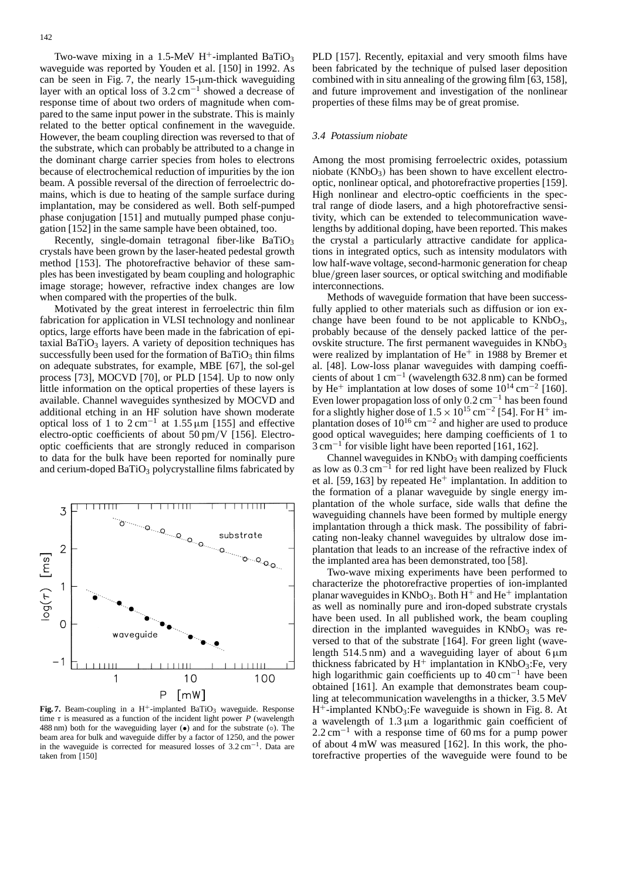Two-wave mixing in a 1.5-MeV  $H^+$ -implanted BaTiO<sub>3</sub> waveguide was reported by Youden et al. [150] in 1992. As can be seen in Fig. 7, the nearly  $15$ - $\mu$ m-thick waveguiding layer with an optical loss of 3*.*2 cm−<sup>1</sup> showed a decrease of response time of about two orders of magnitude when compared to the same input power in the substrate. This is mainly related to the better optical confinement in the waveguide. However, the beam coupling direction was reversed to that of the substrate, which can probably be attributed to a change in the dominant charge carrier species from holes to electrons because of electrochemical reduction of impurities by the ion beam. A possible reversal of the direction of ferroelectric domains, which is due to heating of the sample surface during implantation, may be considered as well. Both self-pumped phase conjugation [151] and mutually pumped phase conjugation [152] in the same sample have been obtained, too.

Recently, single-domain tetragonal fiber-like BaTiO3 crystals have been grown by the laser-heated pedestal growth method [153]. The photorefractive behavior of these samples has been investigated by beam coupling and holographic image storage; however, refractive index changes are low when compared with the properties of the bulk.

Motivated by the great interest in ferroelectric thin film fabrication for application in VLSI technology and nonlinear optics, large efforts have been made in the fabrication of epitaxial BaTiO<sub>3</sub> layers. A variety of deposition techniques has successfully been used for the formation of  $BaTiO<sub>3</sub>$  thin films on adequate substrates, for example, MBE [67], the sol-gel process [73], MOCVD [70], or PLD [154]. Up to now only little information on the optical properties of these layers is available. Channel waveguides synthesized by MOCVD and additional etching in an HF solution have shown moderate optical loss of 1 to 2 cm−<sup>1</sup> at 1*.*55 µm [155] and effective electro-optic coefficients of about 50 pm*/*V [156]. Electrooptic coefficients that are strongly reduced in comparison to data for the bulk have been reported for nominally pure and cerium-doped BaTiO<sub>3</sub> polycrystalline films fabricated by



**Fig. 7.** Beam-coupling in a  $H^+$ -implanted BaTiO<sub>3</sub> waveguide. Response time  $\tau$  is measured as a function of the incident light power *P* (wavelength 488 nm) both for the waveguiding layer  $\left( \bullet \right)$  and for the substrate ( $\circ$ ). The beam area for bulk and waveguide differ by a factor of 1250, and the power in the waveguide is corrected for measured losses of 3*.*2 cm−1. Data are taken from [150]

PLD [157]. Recently, epitaxial and very smooth films have been fabricated by the technique of pulsed laser deposition combined with in situ annealing of the growing film [63, 158], and future improvement and investigation of the nonlinear properties of these films may be of great promise.

# *3.4 Potassium niobate*

Among the most promising ferroelectric oxides, potassium niobate *(KNbO<sub>3</sub>)* has been shown to have excellent electrooptic, nonlinear optical, and photorefractive properties [159]. High nonlinear and electro-optic coefficients in the spectral range of diode lasers, and a high photorefractive sensitivity, which can be extended to telecommunication wavelengths by additional doping, have been reported. This makes the crystal a particularly attractive candidate for applications in integrated optics, such as intensity modulators with low half-wave voltage, second-harmonic generation for cheap blue*/*green laser sources, or optical switching and modifiable interconnections.

Methods of waveguide formation that have been successfully applied to other materials such as diffusion or ion exchange have been found to be not applicable to  $KNbO<sub>3</sub>$ , probably because of the densely packed lattice of the perovskite structure. The first permanent waveguides in  $KNbO_3$ were realized by implantation of  $He<sup>+</sup>$  in 1988 by Bremer et al. [48]. Low-loss planar waveguides with damping coefficients of about 1 cm−<sup>1</sup> (wavelength 632*.*8 nm) can be formed by He<sup>+</sup> implantation at low doses of some 10<sup>14</sup> cm−<sup>2</sup> [160]. Even lower propagation loss of only 0*.*2 cm−<sup>1</sup> has been found for a slightly higher dose of  $1.5 \times 10^{15}$  cm<sup>-2</sup> [54]. For H<sup>+</sup> implantation doses of 10<sup>16</sup> cm−<sup>2</sup> and higher are used to produce good optical waveguides; here damping coefficients of 1 to 3 cm−<sup>1</sup> for visible light have been reported [161, 162].

Channel waveguides in  $KNbO<sub>3</sub>$  with damping coefficients as low as 0*.*3 cm−<sup>1</sup> for red light have been realized by Fluck et al. [59, 163] by repeated  $He<sup>+</sup>$  implantation. In addition to the formation of a planar waveguide by single energy implantation of the whole surface, side walls that define the waveguiding channels have been formed by multiple energy implantation through a thick mask. The possibility of fabricating non-leaky channel waveguides by ultralow dose implantation that leads to an increase of the refractive index of the implanted area has been demonstrated, too [58].

Two-wave mixing experiments have been performed to characterize the photorefractive properties of ion-implanted planar waveguides in  $KNbO_3$ . Both  $H^+$  and  $He^+$  implantation as well as nominally pure and iron-doped substrate crystals have been used. In all published work, the beam coupling direction in the implanted waveguides in  $KNbO<sub>3</sub>$  was reversed to that of the substrate [164]. For green light (wavelength  $514.5 \text{ nm}$ ) and a waveguiding layer of about  $6 \mu \text{m}$ thickness fabricated by  $H^+$  implantation in KNbO<sub>3</sub>:Fe, very high logarithmic gain coefficients up to  $40 \text{ cm}^{-1}$  have been obtained [161]. An example that demonstrates beam coupling at telecommunication wavelengths in a thicker, 3*.*5 MeV  $H^+$ -implanted KNbO<sub>3</sub>: Fe waveguide is shown in Fig. 8. At a wavelength of  $1.3 \mu m$  a logarithmic gain coefficient of 2*.*2 cm−<sup>1</sup> with a response time of 60 ms for a pump power of about 4 mW was measured [162]. In this work, the photorefractive properties of the waveguide were found to be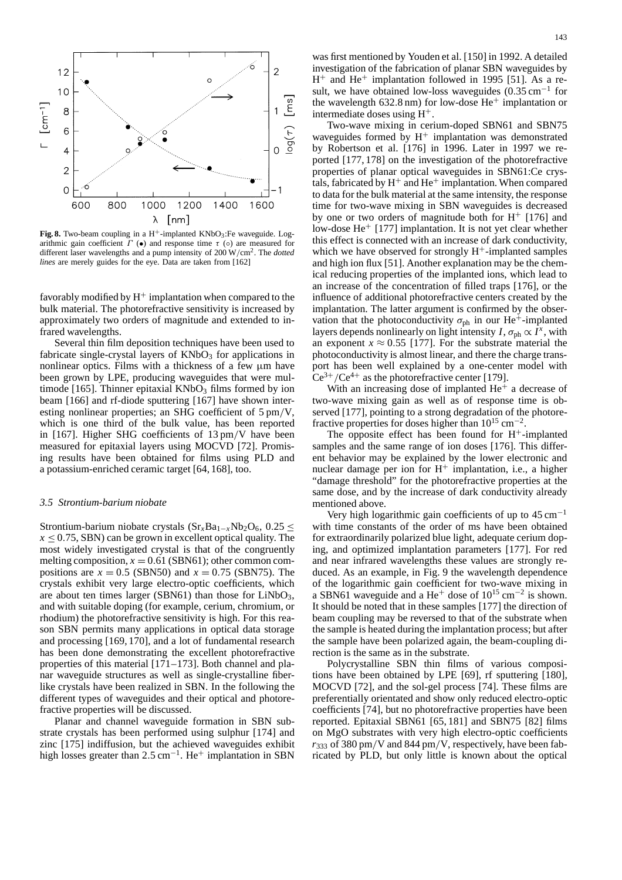

**Fig. 8.** Two-beam coupling in a  $H^+$ -implanted KNbO<sub>3</sub>: Fe waveguide. Logarithmic gain coefficient  $\overline{\Gamma}$  ( $\bullet$ ) and response time  $\tau$  ( $\circ$ ) are measured for different laser wavelengths and a pump intensity of 200 W*/*cm2. The *dotted lines* are merely guides for the eye. Data are taken from [162]

favorably modified by  $H^+$  implantation when compared to the bulk material. The photorefractive sensitivity is increased by approximately two orders of magnitude and extended to infrared wavelengths.

Several thin film deposition techniques have been used to fabricate single-crystal layers of  $KNbO<sub>3</sub>$  for applications in nonlinear optics. Films with a thickness of a few  $\mu$ m have been grown by LPE, producing waveguides that were multimode [165]. Thinner epitaxial  $KNbO<sub>3</sub>$  films formed by ion beam [166] and rf-diode sputtering [167] have shown interesting nonlinear properties; an SHG coefficient of 5 pm*/*V, which is one third of the bulk value, has been reported in [167]. Higher SHG coefficients of 13 pm*/*V have been measured for epitaxial layers using MOCVD [72]. Promising results have been obtained for films using PLD and a potassium-enriched ceramic target [64, 168], too.

#### *3.5 Strontium-barium niobate*

Strontium-barium niobate crystals  $(Sr_xBa_{1-x}Nb_2O_6, 0.25 \leq$  $x \le 0.75$ , SBN) can be grown in excellent optical quality. The most widely investigated crystal is that of the congruently melting composition,  $x = 0.61$  (SBN61); other common compositions are  $x = 0.5$  (SBN50) and  $x = 0.75$  (SBN75). The crystals exhibit very large electro-optic coefficients, which are about ten times larger (SBN61) than those for  $LiNbO<sub>3</sub>$ , and with suitable doping (for example, cerium, chromium, or rhodium) the photorefractive sensitivity is high. For this reason SBN permits many applications in optical data storage and processing [169, 170], and a lot of fundamental research has been done demonstrating the excellent photorefractive properties of this material [171–173]. Both channel and planar waveguide structures as well as single-crystalline fiberlike crystals have been realized in SBN. In the following the different types of waveguides and their optical and photorefractive properties will be discussed.

Planar and channel waveguide formation in SBN substrate crystals has been performed using sulphur [174] and zinc [175] indiffusion, but the achieved waveguides exhibit high losses greater than 2.5 cm<sup>-1</sup>. He<sup>+</sup> implantation in SBN

was first mentioned by Youden et al. [150] in 1992. A detailed investigation of the fabrication of planar SBN waveguides by  $H^+$  and  $He^+$  implantation followed in 1995 [51]. As a result, we have obtained low-loss waveguides (0*.*35 cm−<sup>1</sup> for the wavelength  $632.8 \text{ nm}$  for low-dose  $He^+$  implantation or intermediate doses using  $H^+$ .

Two-wave mixing in cerium-doped SBN61 and SBN75 waveguides formed by  $H^+$  implantation was demonstrated by Robertson et al. [176] in 1996. Later in 1997 we reported [177, 178] on the investigation of the photorefractive properties of planar optical waveguides in SBN61:Ce crystals, fabricated by  $H^+$  and  $He^+$  implantation. When compared to data for the bulk material at the same intensity, the response time for two-wave mixing in SBN waveguides is decreased by one or two orders of magnitude both for  $H^+$  [176] and low-dose  $He<sup>+</sup>$  [177] implantation. It is not yet clear whether this effect is connected with an increase of dark conductivity, which we have observed for strongly  $H^+$ -implanted samples and high ion flux [51]. Another explanation may be the chemical reducing properties of the implanted ions, which lead to an increase of the concentration of filled traps [176], or the influence of additional photorefractive centers created by the implantation. The latter argument is confirmed by the observation that the photoconductivity  $\sigma_{ph}$  in our He<sup>+</sup>-implanted layers depends nonlinearly on light intensity *I*,  $\sigma_{ph} \propto I^x$ , with an exponent  $x \approx 0.55$  [177]. For the substrate material the photoconductivity is almost linear, and there the charge transport has been well explained by a one-center model with  $Ce^{3+}/Ce^{4+}$  as the photorefractive center [179].

With an increasing dose of implanted  $He<sup>+</sup>$  a decrease of two-wave mixing gain as well as of response time is observed [177], pointing to a strong degradation of the photorefractive properties for doses higher than  $10^{15}$  cm<sup>-2</sup>.

The opposite effect has been found for  $H^+$ -implanted samples and the same range of ion doses [176]. This different behavior may be explained by the lower electronic and nuclear damage per ion for  $H^+$  implantation, i.e., a higher "damage threshold" for the photorefractive properties at the same dose, and by the increase of dark conductivity already mentioned above.

Very high logarithmic gain coefficients of up to  $45 \text{ cm}^{-1}$ with time constants of the order of ms have been obtained for extraordinarily polarized blue light, adequate cerium doping, and optimized implantation parameters [177]. For red and near infrared wavelengths these values are strongly reduced. As an example, in Fig. 9 the wavelength dependence of the logarithmic gain coefficient for two-wave mixing in a SBN61 waveguide and a He<sup>+</sup> dose of  $10^{15}$  cm<sup>-2</sup> is shown. It should be noted that in these samples [177] the direction of beam coupling may be reversed to that of the substrate when the sample is heated during the implantation process; but after the sample have been polarized again, the beam-coupling direction is the same as in the substrate.

Polycrystalline SBN thin films of various compositions have been obtained by LPE [69], rf sputtering [180], MOCVD [72], and the sol-gel process [74]. These films are preferentially orientated and show only reduced electro-optic coefficients [74], but no photorefractive properties have been reported. Epitaxial SBN61 [65, 181] and SBN75 [82] films on MgO substrates with very high electro-optic coefficients *r*<sup>333</sup> of 380 pm*/*V and 844 pm*/*V, respectively, have been fabricated by PLD, but only little is known about the optical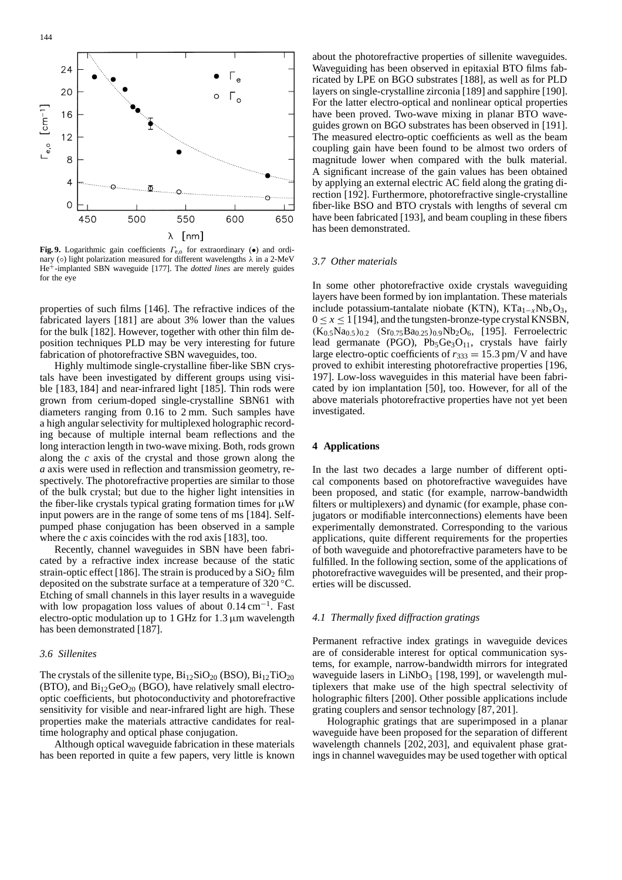

**Fig. 9.** Logarithmic gain coefficients *Γ*e,o for extraordinary (•) and ordinary (◦) light polarization measured for different wavelengths *λ* in a 2-MeV He+-implanted SBN waveguide [177]. The *dotted lines* are merely guides for the eye

properties of such films [146]. The refractive indices of the fabricated layers [181] are about 3% lower than the values for the bulk [182]. However, together with other thin film deposition techniques PLD may be very interesting for future fabrication of photorefractive SBN waveguides, too.

Highly multimode single-crystalline fiber-like SBN crystals have been investigated by different groups using visible [183, 184] and near-infrared light [185]. Thin rods were grown from cerium-doped single-crystalline SBN61 with diameters ranging from 0.16 to 2 mm. Such samples have a high angular selectivity for multiplexed holographic recording because of multiple internal beam reflections and the long interaction length in two-wave mixing. Both, rods grown along the *c* axis of the crystal and those grown along the *a* axis were used in reflection and transmission geometry, respectively. The photorefractive properties are similar to those of the bulk crystal; but due to the higher light intensities in the fiber-like crystals typical grating formation times for  $\mu$ W input powers are in the range of some tens of ms [184]. Selfpumped phase conjugation has been observed in a sample where the *c* axis coincides with the rod axis [183], too.

Recently, channel waveguides in SBN have been fabricated by a refractive index increase because of the static strain-optic effect [186]. The strain is produced by a  $SiO<sub>2</sub>$  film deposited on the substrate surface at a temperature of 320 ◦C. Etching of small channels in this layer results in a waveguide with low propagation loss values of about 0*.*14 cm−1. Fast electro-optic modulation up to  $1 \text{ GHz}$  for  $1.3 \mu \text{m}$  wavelength has been demonstrated [187].

## *3.6 Sillenites*

The crystals of the sillenite type,  $Bi_{12}SiO_{20}$  (BSO),  $Bi_{12}TiO_{20}$ (BTO), and  $Bi_{12}GeO_{20}$  (BGO), have relatively small electrooptic coefficients, but photoconductivity and photorefractive sensitivity for visible and near-infrared light are high. These properties make the materials attractive candidates for realtime holography and optical phase conjugation.

Although optical waveguide fabrication in these materials has been reported in quite a few papers, very little is known

about the photorefractive properties of sillenite waveguides. Waveguiding has been observed in epitaxial BTO films fabricated by LPE on BGO substrates [188], as well as for PLD layers on single-crystalline zirconia [189] and sapphire [190]. For the latter electro-optical and nonlinear optical properties have been proved. Two-wave mixing in planar BTO waveguides grown on BGO substrates has been observed in [191]. The measured electro-optic coefficients as well as the beam coupling gain have been found to be almost two orders of magnitude lower when compared with the bulk material. A significant increase of the gain values has been obtained by applying an external electric AC field along the grating direction [192]. Furthermore, photorefractive single-crystalline fiber-like BSO and BTO crystals with lengths of several cm have been fabricated [193], and beam coupling in these fibers has been demonstrated.

## *3.7 Other materials*

In some other photorefractive oxide crystals waveguiding layers have been formed by ion implantation. These materials include potassium-tantalate niobate (KTN),  $KTa_{1-x}Nb_xO_3$ ,  $0 \le x \le 1$  [194], and the tungsten-bronze-type crystal KNSBN, *(*K0*.*5Na0*.*5*)*0*.*<sup>2</sup> *(*Sr0*.*75Ba0*.*25*)*0*.*9Nb2O6, [195]. Ferroelectric lead germanate (PGO),  $Pb_5Ge_3O_{11}$ , crystals have fairly large electro-optic coefficients of  $r_{333} = 15.3$  pm/V and have proved to exhibit interesting photorefractive properties [196, 197]. Low-loss waveguides in this material have been fabricated by ion implantation [50], too. However, for all of the above materials photorefractive properties have not yet been investigated.

# **4 Applications**

In the last two decades a large number of different optical components based on photorefractive waveguides have been proposed, and static (for example, narrow-bandwidth filters or multiplexers) and dynamic (for example, phase conjugators or modifiable interconnections) elements have been experimentally demonstrated. Corresponding to the various applications, quite different requirements for the properties of both waveguide and photorefractive parameters have to be fulfilled. In the following section, some of the applications of photorefractive waveguides will be presented, and their properties will be discussed.

## *4.1 Thermally fixed diffraction gratings*

Permanent refractive index gratings in waveguide devices are of considerable interest for optical communication systems, for example, narrow-bandwidth mirrors for integrated waveguide lasers in  $LiNbO<sub>3</sub>$  [198, 199], or wavelength multiplexers that make use of the high spectral selectivity of holographic filters [200]. Other possible applications include grating couplers and sensor technology [87, 201].

Holographic gratings that are superimposed in a planar waveguide have been proposed for the separation of different wavelength channels [202, 203], and equivalent phase gratings in channel waveguides may be used together with optical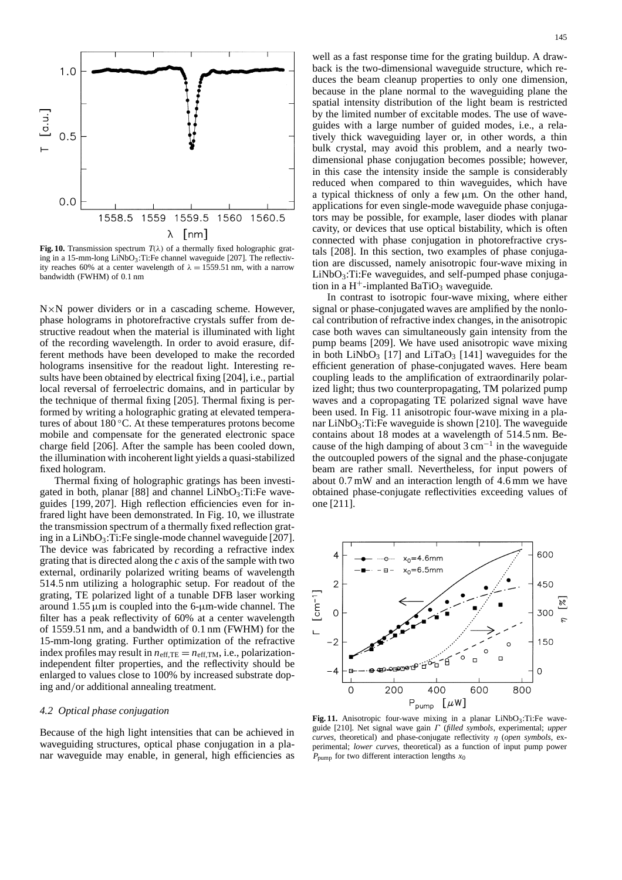

**Fig. 10.** Transmission spectrum  $T(\lambda)$  of a thermally fixed holographic grating in a 15-mm-long LiNbO<sub>3</sub>:Ti:Fe channel waveguide [207]. The reflectivity reaches 60% at a center wavelength of  $\lambda = 1559.51$  nm, with a narrow bandwidth (FWHM) of 0*.*1 nm

N×N power dividers or in a cascading scheme. However, phase holograms in photorefractive crystals suffer from destructive readout when the material is illuminated with light of the recording wavelength. In order to avoid erasure, different methods have been developed to make the recorded holograms insensitive for the readout light. Interesting results have been obtained by electrical fixing [204], i.e., partial local reversal of ferroelectric domains, and in particular by the technique of thermal fixing [205]. Thermal fixing is performed by writing a holographic grating at elevated temperatures of about 180 ◦C. At these temperatures protons become mobile and compensate for the generated electronic space charge field [206]. After the sample has been cooled down, the illumination with incoherent light yields a quasi-stabilized fixed hologram.

Thermal fixing of holographic gratings has been investigated in both, planar [88] and channel  $LiNbO<sub>3</sub>:Ti:Fe$  waveguides [199, 207]. High reflection efficiencies even for infrared light have been demonstrated. In Fig. 10, we illustrate the transmission spectrum of a thermally fixed reflection grating in a LiNbO<sub>3</sub>:Ti:Fe single-mode channel waveguide [207]. The device was fabricated by recording a refractive index grating that is directed along the *c* axis of the sample with two external, ordinarily polarized writing beams of wavelength 514*.*5 nm utilizing a holographic setup. For readout of the grating, TE polarized light of a tunable DFB laser working around  $1.55 \mu m$  is coupled into the 6- $\mu$ m-wide channel. The filter has a peak reflectivity of 60% at a center wavelength of 1559*.*51 nm, and a bandwidth of 0*.*1 nm (FWHM) for the 15-mm-long grating. Further optimization of the refractive index profiles may result in  $n_{\text{eff,TE}} = n_{\text{eff,TM}}$ , i.e., polarizationindependent filter properties, and the reflectivity should be enlarged to values close to 100% by increased substrate doping and*/*or additional annealing treatment.

#### *4.2 Optical phase conjugation*

Because of the high light intensities that can be achieved in waveguiding structures, optical phase conjugation in a planar waveguide may enable, in general, high efficiencies as

well as a fast response time for the grating buildup. A drawback is the two-dimensional waveguide structure, which reduces the beam cleanup properties to only one dimension, because in the plane normal to the waveguiding plane the spatial intensity distribution of the light beam is restricted by the limited number of excitable modes. The use of waveguides with a large number of guided modes, i.e., a relatively thick waveguiding layer or, in other words, a thin bulk crystal, may avoid this problem, and a nearly twodimensional phase conjugation becomes possible; however, in this case the intensity inside the sample is considerably reduced when compared to thin waveguides, which have a typical thickness of only a few  $\mu$ m. On the other hand, applications for even single-mode waveguide phase conjugators may be possible, for example, laser diodes with planar cavity, or devices that use optical bistability, which is often connected with phase conjugation in photorefractive crystals [208]. In this section, two examples of phase conjugation are discussed, namely anisotropic four-wave mixing in  $LiNbO<sub>3</sub>:Ti:Fe$  waveguides, and self-pumped phase conjugation in a H<sup>+</sup>-implanted BaTiO<sub>3</sub> waveguide.

In contrast to isotropic four-wave mixing, where either signal or phase-conjugated waves are amplified by the nonlocal contribution of refractive index changes, in the anisotropic case both waves can simultaneously gain intensity from the pump beams [209]. We have used anisotropic wave mixing in both LiNbO<sub>3</sub> [17] and LiTaO<sub>3</sub> [141] waveguides for the efficient generation of phase-conjugated waves. Here beam coupling leads to the amplification of extraordinarily polarized light; thus two counterpropagating, TM polarized pump waves and a copropagating TE polarized signal wave have been used. In Fig. 11 anisotropic four-wave mixing in a planar LiNbO<sub>3</sub>:Ti:Fe waveguide is shown [210]. The waveguide contains about 18 modes at a wavelength of 514*.*5 nm. Because of the high damping of about  $3 \text{ cm}^{-1}$  in the waveguide the outcoupled powers of the signal and the phase-conjugate beam are rather small. Nevertheless, for input powers of about 0*.*7 mW and an interaction length of 4*.*6 mm we have obtained phase-conjugate reflectivities exceeding values of one [211].



Fig. 11. Anisotropic four-wave mixing in a planar LiNbO<sub>3</sub>:Ti:Fe waveguide [210]. Net signal wave gain *Γ* (*filled symbols*, experimental; *upper curves*, theoretical) and phase-conjugate reflectivity *η* (*open symbols*, experimental; *lower curves*, theoretical) as a function of input pump power  $P_{\text{pump}}$  for two different interaction lengths  $x_0$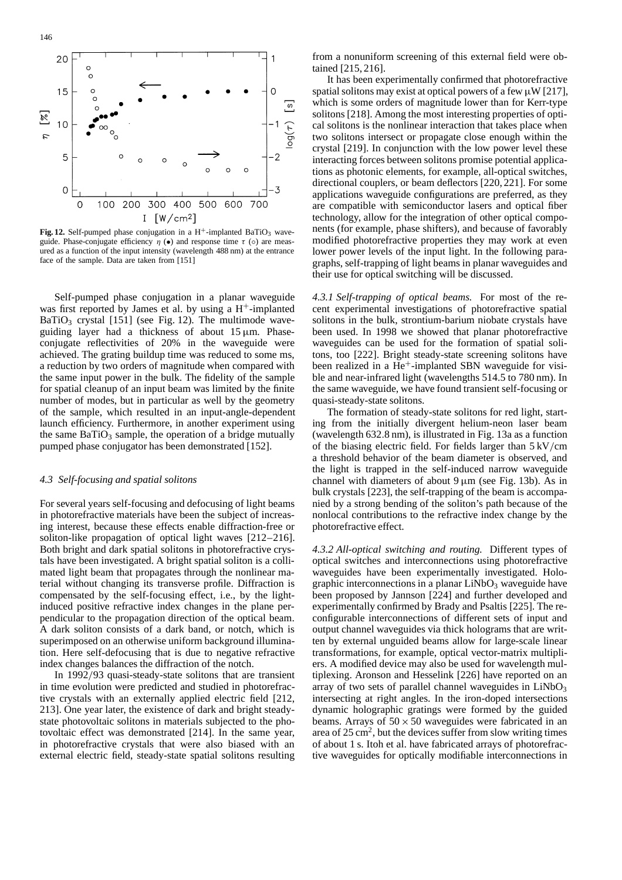

**Fig. 12.** Self-pumped phase conjugation in a  $H^+$ -implanted BaTiO<sub>3</sub> waveguide. Phase-conjugate efficiency  $\eta$  ( $\bullet$ ) and response time  $\tau$  ( $\circ$ ) are measured as a function of the input intensity (wavelength 488 nm) at the entrance face of the sample. Data are taken from [151]

Self-pumped phase conjugation in a planar waveguide was first reported by James et al. by using a  $H^+$ -implanted BaTiO<sub>3</sub> crystal  $[151]$  (see Fig. 12). The multimode waveguiding layer had a thickness of about  $15 \mu m$ . Phaseconjugate reflectivities of 20% in the waveguide were achieved. The grating buildup time was reduced to some ms, a reduction by two orders of magnitude when compared with the same input power in the bulk. The fidelity of the sample for spatial cleanup of an input beam was limited by the finite number of modes, but in particular as well by the geometry of the sample, which resulted in an input-angle-dependent launch efficiency. Furthermore, in another experiment using the same  $BaTiO<sub>3</sub>$  sample, the operation of a bridge mutually pumped phase conjugator has been demonstrated [152].

## *4.3 Self-focusing and spatial solitons*

For several years self-focusing and defocusing of light beams in photorefractive materials have been the subject of increasing interest, because these effects enable diffraction-free or soliton-like propagation of optical light waves [212–216]. Both bright and dark spatial solitons in photorefractive crystals have been investigated. A bright spatial soliton is a collimated light beam that propagates through the nonlinear material without changing its transverse profile. Diffraction is compensated by the self-focusing effect, i.e., by the lightinduced positive refractive index changes in the plane perpendicular to the propagation direction of the optical beam. A dark soliton consists of a dark band, or notch, which is superimposed on an otherwise uniform background illumination. Here self-defocusing that is due to negative refractive index changes balances the diffraction of the notch.

In 1992*/*93 quasi-steady-state solitons that are transient in time evolution were predicted and studied in photorefractive crystals with an externally applied electric field [212, 213]. One year later, the existence of dark and bright steadystate photovoltaic solitons in materials subjected to the photovoltaic effect was demonstrated [214]. In the same year, in photorefractive crystals that were also biased with an external electric field, steady-state spatial solitons resulting

from a nonuniform screening of this external field were obtained [215, 216].

It has been experimentally confirmed that photorefractive spatial solitons may exist at optical powers of a few  $\mu$ W [217], which is some orders of magnitude lower than for Kerr-type solitons [218]. Among the most interesting properties of optical solitons is the nonlinear interaction that takes place when two solitons intersect or propagate close enough within the crystal [219]. In conjunction with the low power level these interacting forces between solitons promise potential applications as photonic elements, for example, all-optical switches, directional couplers, or beam deflectors [220, 221]. For some applications waveguide configurations are preferred, as they are compatible with semiconductor lasers and optical fiber technology, allow for the integration of other optical components (for example, phase shifters), and because of favorably modified photorefractive properties they may work at even lower power levels of the input light. In the following paragraphs, self-trapping of light beams in planar waveguides and their use for optical switching will be discussed.

*4.3.1 Self-trapping of optical beams.* For most of the recent experimental investigations of photorefractive spatial solitons in the bulk, strontium-barium niobate crystals have been used. In 1998 we showed that planar photorefractive waveguides can be used for the formation of spatial solitons, too [222]. Bright steady-state screening solitons have been realized in a He<sup>+</sup>-implanted SBN waveguide for visible and near-infrared light (wavelengths 514.5 to 780 nm). In the same waveguide, we have found transient self-focusing or quasi-steady-state solitons.

The formation of steady-state solitons for red light, starting from the initially divergent helium-neon laser beam (wavelength 632*.*8 nm), is illustrated in Fig. 13a as a function of the biasing electric field. For fields larger than 5 kV*/*cm a threshold behavior of the beam diameter is observed, and the light is trapped in the self-induced narrow waveguide channel with diameters of about  $9 \mu m$  (see Fig. 13b). As in bulk crystals [223], the self-trapping of the beam is accompanied by a strong bending of the soliton's path because of the nonlocal contributions to the refractive index change by the photorefractive effect.

*4.3.2 All-optical switching and routing.* Different types of optical switches and interconnections using photorefractive waveguides have been experimentally investigated. Holographic interconnections in a planar  $LiNbO<sub>3</sub>$  waveguide have been proposed by Jannson [224] and further developed and experimentally confirmed by Brady and Psaltis [225]. The reconfigurable interconnections of different sets of input and output channel waveguides via thick holograms that are written by external unguided beams allow for large-scale linear transformations, for example, optical vector-matrix multipliers. A modified device may also be used for wavelength multiplexing. Aronson and Hesselink [226] have reported on an array of two sets of parallel channel waveguides in  $LiNbO<sub>3</sub>$ intersecting at right angles. In the iron-doped intersections dynamic holographic gratings were formed by the guided beams. Arrays of  $50 \times 50$  waveguides were fabricated in an area of  $25 \text{ cm}^2$ , but the devices suffer from slow writing times of about 1 s. Itoh et al. have fabricated arrays of photorefractive waveguides for optically modifiable interconnections in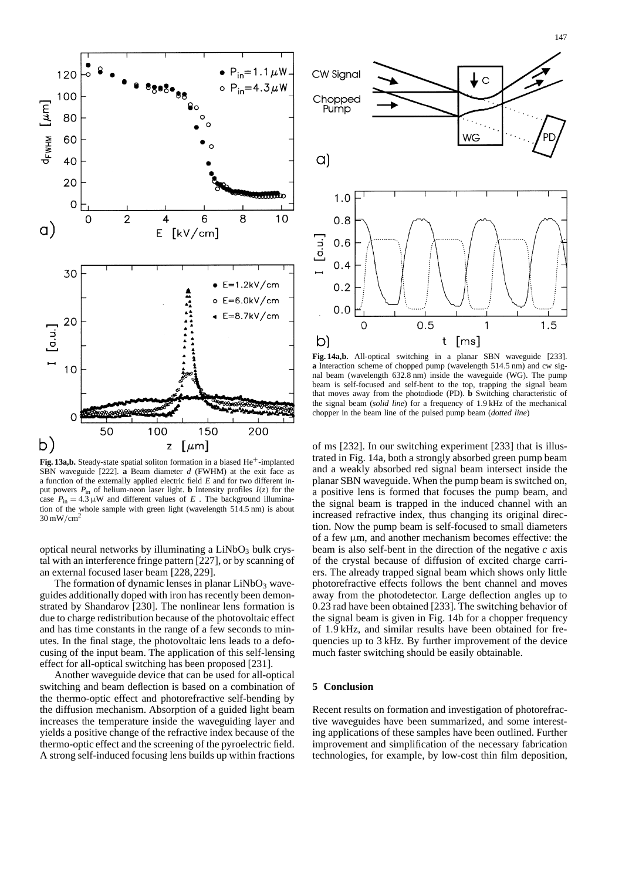

Fig. 13a,b. Steady-state spatial soliton formation in a biased He<sup>+</sup>-implanted SBN waveguide [222]. **a** Beam diameter *d* (FWHM) at the exit face as a function of the externally applied electric field *E* and for two different input powers  $P_{in}$  of helium-neon laser light. **b** Intensity profiles  $I(z)$  for the case  $P_{\text{in}} = 4.3 \mu W$  and different values of *E*. The background illumination of the whole sample with green light (wavelength 514*.*5 nm) is about 30 mW*/*cm<sup>2</sup>

optical neural networks by illuminating a  $LiNbO<sub>3</sub>$  bulk crystal with an interference fringe pattern [227], or by scanning of an external focused laser beam [228, 229].

The formation of dynamic lenses in planar  $LiNbO<sub>3</sub>$  waveguides additionally doped with iron has recently been demonstrated by Shandarov [230]. The nonlinear lens formation is due to charge redistribution because of the photovoltaic effect and has time constants in the range of a few seconds to minutes. In the final stage, the photovoltaic lens leads to a defocusing of the input beam. The application of this self-lensing effect for all-optical switching has been proposed [231].

Another waveguide device that can be used for all-optical switching and beam deflection is based on a combination of the thermo-optic effect and photorefractive self-bending by the diffusion mechanism. Absorption of a guided light beam increases the temperature inside the waveguiding layer and yields a positive change of the refractive index because of the thermo-optic effect and the screening of the pyroelectric field. A strong self-induced focusing lens builds up within fractions



**Fig. 14a,b.** All-optical switching in a planar SBN waveguide [233]. **a** Interaction scheme of chopped pump (wavelength 514*.*5 nm) and cw signal beam (wavelength 632*.*8 nm) inside the waveguide (WG). The pump beam is self-focused and self-bent to the top, trapping the signal beam that moves away from the photodiode (PD). **b** Switching characteristic of the signal beam (*solid line*) for a frequency of 1*.*9 kHz of the mechanical chopper in the beam line of the pulsed pump beam (*dotted line*)

of ms [232]. In our switching experiment [233] that is illustrated in Fig. 14a, both a strongly absorbed green pump beam and a weakly absorbed red signal beam intersect inside the planar SBN waveguide. When the pump beam is switched on, a positive lens is formed that focuses the pump beam, and the signal beam is trapped in the induced channel with an increased refractive index, thus changing its original direction. Now the pump beam is self-focused to small diameters of a few  $\mu$ m, and another mechanism becomes effective: the beam is also self-bent in the direction of the negative *c* axis of the crystal because of diffusion of excited charge carriers. The already trapped signal beam which shows only little photorefractive effects follows the bent channel and moves away from the photodetector. Large deflection angles up to 0*.*23 rad have been obtained [233]. The switching behavior of the signal beam is given in Fig. 14b for a chopper frequency of 1*.*9 kHz, and similar results have been obtained for frequencies up to 3 kHz. By further improvement of the device much faster switching should be easily obtainable.

# **5 Conclusion**

Recent results on formation and investigation of photorefractive waveguides have been summarized, and some interesting applications of these samples have been outlined. Further improvement and simplification of the necessary fabrication technologies, for example, by low-cost thin film deposition,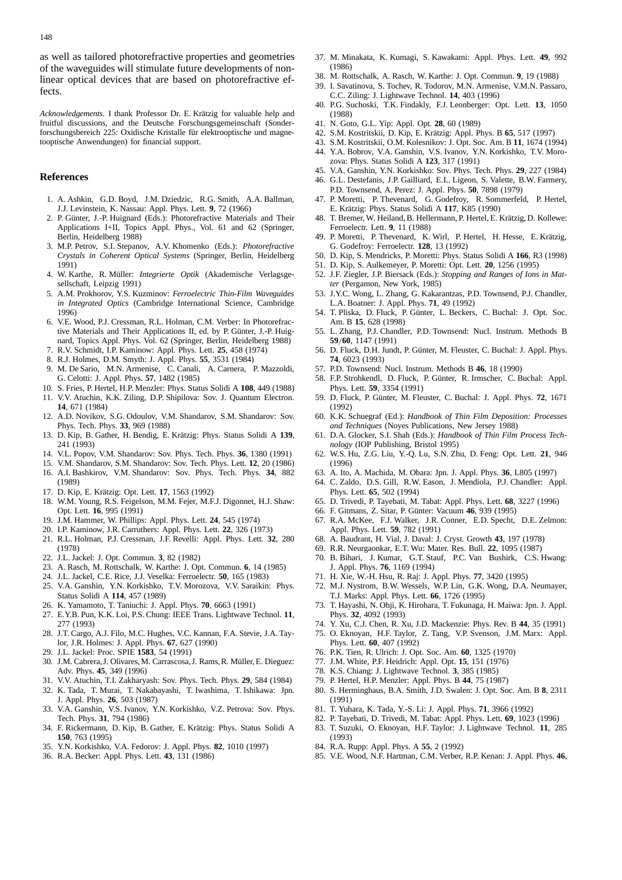as well as tailored photorefractive properties and geometries of the waveguides will stimulate future developments of nonlinear optical devices that are based on photorefractive effects.

*Acknowledgements.* I thank Professor Dr. E. Krätzig for valuable help and fruitful discussions, and the Deutsche Forschungsgemeinschaft (Sonderforschungsbereich 225: Oxidische Kristalle für elektrooptische und magnetooptische Anwendungen) for financial support.

## **References**

- 1. A. Ashkin, G.D. Boyd, J.M. Dziedzic, R.G. Smith, A.A. Ballman, J.J. Levinstein, K. Nassau: Appl. Phys. Lett. **9**, 72 (1966)
- 2. P. Günter, J.-P. Huignard (Eds.): Photorefractive Materials and Their Applications I+II, Topics Appl. Phys., Vol. 61 and 62 (Springer, Berlin, Heidelberg 1988)
- 3. M.P. Petrov, S.I. Stepanov, A.V. Khomenko (Eds.): *Photorefractive Crystals in Coherent Optical Systems* (Springer, Berlin, Heidelberg 1991)
- 4. W. Karthe, R. Müller: *Integrierte Optik* (Akademische Verlagsgesellschaft, Leipzig 1991)
- 5. A.M. Prokhorov, Y.S. Kuzminov: *Ferroelectric Thin-Film Waveguides in Integrated Optics* (Cambridge International Science, Cambridge 1996)
- 6. V.E. Wood, P.J. Cressman, R.L. Holman, C.M. Verber: In Photorefractive Materials and Their Applications II, ed. by P. Günter, J.-P. Huignard, Topics Appl. Phys. Vol. 62 (Springer, Berlin, Heidelberg 1988)
- 7. R.V. Schmidt, I.P. Kaminow: Appl. Phys. Lett. **25**, 458 (1974)
- 8. R.J. Holmes, D.M. Smyth: J. Appl. Phys. **55**, 3531 (1984)
- 9. M. De Sario, M.N. Armenise, C. Canali, A. Carnera, P. Mazzoldi, G. Celotti: J. Appl. Phys. **57**, 1482 (1985)
- 10. S. Fries, P. Hertel, H.P. Menzler: Phys. Status Solidi A **108**, 449 (1988)
- 11. V.V. Atuchin, K.K. Ziling, D.P. Shipilova: Sov. J. Quantum Electron. **14**, 671 (1984)
- 12. A.D. Novikov, S.G. Odoulov, V.M. Shandarov, S.M. Shandarov: Sov. Phys. Tech. Phys. **33**, 969 (1988)
- 13. D. Kip, B. Gather, H. Bendig, E. Krätzig: Phys. Status Solidi A **139**, 241 (1993)
- 14. V.L. Popov, V.M. Shandarov: Sov. Phys. Tech. Phys. **36**, 1380 (1991)
- 15. V.M. Shandarov, S.M. Shandarov: Sov. Tech. Phys. Lett. **12**, 20 (1986)
- 16. A.I. Bashkirov, V.M. Shandarov: Sov. Phys. Tech. Phys. **34**, 882 (1989)
- 17. D. Kip, E. Krätzig: Opt. Lett. **17**, 1563 (1992)
- 18. W.M. Young, R.S. Feigelson, M.M. Fejer, M.F.J. Digonnet, H.J. Shaw: Opt. Lett. **16**, 995 (1991)
- 19. J.M. Hammer, W. Phillips: Appl. Phys. Lett. **24**, 545 (1974)
- 20. I.P. Kaminow, J.R. Carruthers: Appl. Phys. Lett. **22**, 326 (1973)
- 21. R.L. Holman, P.J. Cressman, J.F. Revelli: Appl. Phys. Lett. **32**, 280 (1978)
- 22. J.L. Jackel: J. Opt. Commun. **3**, 82 (1982)
- 23. A. Rasch, M. Rottschalk, W. Karthe: J. Opt. Commun. **6**, 14 (1985)
- 24. J.L. Jackel, C.E. Rice, J.J. Veselka: Ferroelectr. **50**, 165 (1983)
- 25. V.A. Ganshin, Y.N. Korkishko, T.V. Morozova, V.V. Saraikin: Phys. Status Solidi A **114**, 457 (1989)
- 26. K. Yamamoto, T. Taniuchi: J. Appl. Phys. **70**, 6663 (1991)
- 27. E.Y.B. Pun, K.K. Loi, P.S. Chung: IEEE Trans. Lightwave Technol. **11**, 277 (1993)
- 28. J.T. Cargo, A.J. Filo, M.C. Hughes, V.C. Kannan, F.A. Stevie, J.A. Taylor, J.R. Holmes: J. Appl. Phys. **67**, 627 (1990)
- 29. J.L. Jackel: Proc. SPIE **1583**, 54 (1991)
- 30. J.M. Cabrera, J. Olivares,M. Carrascosa, J. Rams,R. Müller, E. Dieguez: Adv. Phys. **45**, 349 (1996)
- 31. V.V. Atuchin, T.I. Zakharyash: Sov. Phys. Tech. Phys. **29**, 584 (1984)
- 32. K. Tada, T. Murai, T. Nakabayashi, T. Iwashima, T. Ishikawa: Jpn. J. Appl. Phys. **26**, 503 (1987)
- 33. V.A. Ganshin, V.S. Ivanov, Y.N. Korkishko, V.Z. Petrova: Sov. Phys. Tech. Phys. **31**, 794 (1986)
- 34. F. Rickermann, D. Kip, B. Gather, E. Krätzig: Phys. Status Solidi A **150**, 763 (1995)
- 35. Y.N. Korkishko, V.A. Fedorov: J. Appl. Phys. **82**, 1010 (1997)
- 36. R.A. Becker: Appl. Phys. Lett. **43**, 131 (1986)
- 37. M. Minakata, K. Kumagi, S. Kawakami: Appl. Phys. Lett. **49**, 992 (1986)
- 38. M. Rottschalk, A. Rasch, W. Karthe: J. Opt. Commun. **9**, 19 (1988)
- 39. I. Savatinova, S. Tochev, R. Todorov, M.N. Armenise, V.M.N. Passaro,
- C.C. Ziling: J. Lightwave Technol. **14**, 403 (1996) 40. P.G. Suchoski, T.K. Findakly, F.J. Leonberger: Opt. Lett. **13**, 1050 (1988)
- 41. N. Goto, G.L. Yip: Appl. Opt. **28**, 60 (1989)
- 42. S.M. Kostritskii, D. Kip, E. Krätzig: Appl. Phys. B **65**, 517 (1997)
- 43. S.M. Kostritskii, O.M. Kolesnikov: J. Opt. Soc. Am. B **11**, 1674 (1994)
- 44. Y.A. Bobrov, V.A. Ganshin, V.S. Ivanov, Y.N. Korkishko, T.V. Morozova: Phys. Status Solidi A **123**, 317 (1991)
- 45. V.A. Ganshin, Y.N. Korkishko: Sov. Phys. Tech. Phys. **29**, 227 (1984) 46. G.L. Destefanis, J.P. Gailliard, E.L. Ligeon, S. Valette, B.W. Farmery,
- P.D. Townsend, A. Perez: J. Appl. Phys. **50**, 7898 (1979) 47. P. Moretti, P. Thevenard, G. Godefroy, R. Sommerfeld, P. Hertel,
- E. Krätzig: Phys. Status Solidi A **117**, K85 (1990)
- 48. T. Bremer,W. Heiland, B. Hellermann, P. Hertel, E. Krätzig, D. Kollewe: Ferroelectr. Lett. **9**, 11 (1988)
- 49. P. Moretti, P. Thevenard, K. Wirl, P. Hertel, H. Hesse, E. Krätzig, G. Godefroy: Ferroelectr. **128**, 13 (1992)
- 50. D. Kip, S. Mendricks, P. Moretti: Phys. Status Solidi A **166**, R3 (1998)
- 51. D. Kip, S. Aulkemeyer, P. Moretti: Opt. Lett. **20**, 1256 (1995)
- 52. J.F. Ziegler, J.P. Biersack (Eds.): *Stopping and Ranges of Ions in Matter* (Pergamon, New York, 1985)
- 53. J.Y.C. Wong, L. Zhang, G. Kakarantzas, P.D. Townsend, P.J. Chandler, L.A. Boatner: J. Appl. Phys. **71**, 49 (1992)
- 54. T. Pliska, D. Fluck, P. Günter, L. Beckers, C. Buchal: J. Opt. Soc. Am. B **15**, 628 (1998)
- 55. L. Zhang, P.J. Chandler, P.D. Townsend: Nucl. Instrum. Methods B **59***/***60**, 1147 (1991)
- 56. D. Fluck, D.H. Jundt, P. Günter, M. Fleuster, C. Buchal: J. Appl. Phys. **74**, 6023 (1993)
- 57. P.D. Townsend: Nucl. Instrum. Methods B **46**, 18 (1990)
- 58. F.P. Strohkendl, D. Fluck, P. Günter, R. Irmscher, C. Buchal: Appl. Phys. Lett. **59**, 3354 (1991)
- 59. D. Fluck, P. Günter, M. Fleuster, C. Buchal: J. Appl. Phys. **72**, 1671 (1992)
- 60. K.K. Schuegraf (Ed.): *Handbook of Thin Film Deposition: Processes and Techniques* (Noyes Publications, New Jersey 1988)
- 61. D.A. Glocker, S.I. Shah (Eds.): *Handbook of Thin Film Process Technology* (IOP Publishing, Bristol 1995)
- 62. W.S. Hu, Z.G. Liu, Y.-Q. Lu, S.N. Zhu, D. Feng: Opt. Lett. **21**, 946 (1996)
- 63. A. Ito, A. Machida, M. Obara: Jpn. J. Appl. Phys. **36**, L805 (1997)
- 64. C. Zaldo, D.S. Gill, R.W. Eason, J. Mendiola, P.J. Chandler: Appl. Phys. Lett. **65**, 502 (1994)
- 65. D. Trivedi, P. Tayebati, M. Tabat: Appl. Phys. Lett. **68**, 3227 (1996)
- 66. F. Gitmans, Z. Sitar, P. Günter: Vacuum **46**, 939 (1995)
- 67. R.A. McKee, F.J. Walker, J.R. Conner, E.D. Specht, D.E. Zelmon: Appl. Phys. Lett. **59**, 782 (1991)
- 68. A. Baudrant, H. Vial, J. Daval: J. Cryst. Growth **43**, 197 (1978)
- 69. R.R. Neurgaonkar, E.T. Wu: Mater. Res. Bull. **22**, 1095 (1987)
- 70. B. Bihari, J. Kumar, G.T. Stauf, P.C. Van Bushirk, C.S. Hwang: J. Appl. Phys. **76**, 1169 (1994)
- 71. H. Xie, W.-H. Hsu, R. Raj: J. Appl. Phys. **77**, 3420 (1995)
- 72. M.J. Nystrom, B.W. Wessels, W.P. Lin, G.K. Wong, D.A. Neumayer, T.J. Marks: Appl. Phys. Lett. **66**, 1726 (1995)
- 73. T. Hayashi, N. Ohji, K. Hirohara, T. Fukunaga, H. Maiwa: Jpn. J. Appl. Phys. **32**, 4092 (1993)
- 74. Y. Xu, C.J. Chen, R. Xu, J.D. Mackenzie: Phys. Rev. B **44**, 35 (1991)
- 75. O. Eknoyan, H.F. Taylor, Z. Tang, V.P. Svenson, J.M. Marx: Appl. Phys. Lett. **60**, 407 (1992)
- 76. P.K. Tien, R. Ulrich: J. Opt. Soc. Am. **60**, 1325 (1970)
- 77. J.M. White, P.F. Heidrich: Appl. Opt. **15**, 151 (1976)
- 78. K.S. Chiang: J. Lightwave Technol. **3**, 385 (1985)
- 79. P. Hertel, H.P. Menzler: Appl. Phys. B **44**, 75 (1987)
- 80. S. Herminghaus, B.A. Smith, J.D. Swalen: J. Opt. Soc. Am. B **8**, 2311 (1991)
- 81. T. Yuhara, K. Tada, Y.-S. Li: J. Appl. Phys. **71**, 3966 (1992)
- 82. P. Tayebati, D. Trivedi, M. Tabat: Appl. Phys. Lett. **69**, 1023 (1996)
- 83. T. Suzuki, O. Eknoyan, H.F. Taylor: J. Lightwave Technol. **11**, 285 (1993)
- 84. R.A. Rupp: Appl. Phys. A **55**, 2 (1992)
- 85. V.E. Wood, N.F. Hartman, C.M. Verber, R.P. Kenan: J. Appl. Phys. **46**,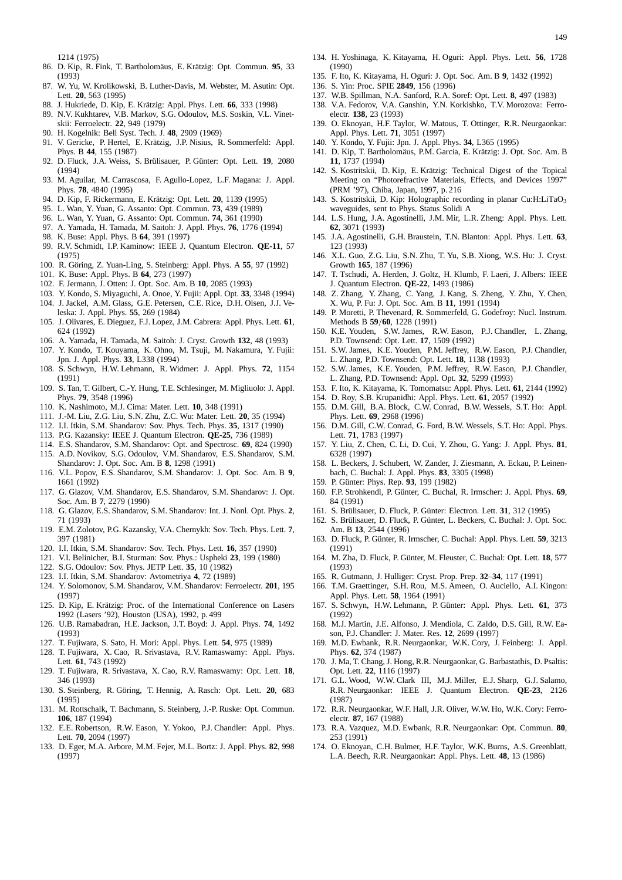1214 (1975)

- 86. D. Kip, R. Fink, T. Bartholomäus, E. Krätzig: Opt. Commun. **95**, 33 (1993)
- 87. W. Yu, W. Krolikowski, B. Luther-Davis, M. Webster, M. Asutin: Opt. Lett. **20**, 563 (1995)
- 88. J. Hukriede, D. Kip, E. Krätzig: Appl. Phys. Lett. **66**, 333 (1998)
- 89. N.V. Kukhtarev, V.B. Markov, S.G. Odoulov, M.S. Soskin, V.L. Vinetskii: Ferroelectr. **22**, 949 (1979)
- 90. H. Kogelnik: Bell Syst. Tech. J. **48**, 2909 (1969)
- 91. V. Gericke, P. Hertel, E. Krätzig, J.P. Nisius, R. Sommerfeld: Appl. Phys. B **44**, 155 (1987)
- 92. D. Fluck, J.A. Weiss, S. Brülisauer, P. Günter: Opt. Lett. **19**, 2080 (1994)
- 93. M. Aguilar, M. Carrascosa, F. Agullo-Lopez, L.F. Magana: J. Appl. Phys. **78**, 4840 (1995)
- 94. D. Kip, F. Rickermann, E. Krätzig: Opt. Lett. **20**, 1139 (1995)
- 95. L. Wan, Y. Yuan, G. Assanto: Opt. Commun. **73**, 439 (1989)
- 96. L. Wan, Y. Yuan, G. Assanto: Opt. Commun. **74**, 361 (1990)
- 97. A. Yamada, H. Tamada, M. Saitoh: J. Appl. Phys. **76**, 1776 (1994)
- 98. K. Buse: Appl. Phys. B **64**, 391 (1997)
- 99. R.V. Schmidt, I.P. Kaminow: IEEE J. Quantum Electron. **QE-11**, 57 (1975)
- 100. R. Göring, Z. Yuan-Ling, S. Steinberg: Appl. Phys. A **55**, 97 (1992)
- 101. K. Buse: Appl. Phys. B **64**, 273 (1997)
- 102. F. Jermann, J. Otten: J. Opt. Soc. Am. B **10**, 2085 (1993)
- 103. Y. Kondo, S. Miyaguchi, A. Onoe, Y. Fujii: Appl. Opt. **33**, 3348 (1994)
- 104. J. Jackel, A.M. Glass, G.E. Petersen, C.E. Rice, D.H. Olsen, J.J. Veleska: J. Appl. Phys. **55**, 269 (1984)
- 105. J. Olivares, E. Dieguez, F.J. Lopez, J.M. Cabrera: Appl. Phys. Lett. **61**, 624 (1992)
- 106. A. Yamada, H. Tamada, M. Saitoh: J. Cryst. Growth **132**, 48 (1993)
- 107. Y. Kondo, T. Kouyama, K. Ohno, M. Tsuji, M. Nakamura, Y. Fujii: Jpn. J. Appl. Phys. **33**, L338 (1994)
- 108. S. Schwyn, H.W. Lehmann, R. Widmer: J. Appl. Phys. **72**, 1154 (1991)
- 109. S. Tan, T. Gilbert, C.-Y. Hung, T.E. Schlesinger, M. Migliuolo: J. Appl. Phys. **79**, 3548 (1996)
- 110. K. Nashimoto, M.J. Cima: Mater. Lett. **10**, 348 (1991)
- 111. J.-M. Liu, Z.G. Liu, S.N. Zhu, Z.C. Wu: Mater. Lett. **20**, 35 (1994)
- 112. I.I. Itkin, S.M. Shandarov: Sov. Phys. Tech. Phys. **35**, 1317 (1990)
- 113. P.G. Kazansky: IEEE J. Quantum Electron. **QE-25**, 736 (1989)
- 114. E.S. Shandarov, S.M. Shandarov: Opt. and Spectrosc. **69**, 824 (1990)
- 115. A.D. Novikov, S.G. Odoulov, V.M. Shandarov, E.S. Shandarov, S.M.
- Shandarov: J. Opt. Soc. Am. B **8**, 1298 (1991) 116. V.L. Popov, E.S. Shandarov, S.M. Shandarov: J. Opt. Soc. Am. B **9**, 1661 (1992)
- 117. G. Glazov, V.M. Shandarov, E.S. Shandarov, S.M. Shandarov: J. Opt. Soc. Am. B **7**, 2279 (1990)
- 118. G. Glazov, E.S. Shandarov, S.M. Shandarov: Int. J. Nonl. Opt. Phys. **2**, 71 (1993)
- 119. E.M. Zolotov, P.G. Kazansky, V.A. Chernykh: Sov. Tech. Phys. Lett. **7**, 397 (1981)
- 120. I.I. Itkin, S.M. Shandarov: Sov. Tech. Phys. Lett. **16**, 357 (1990)
- 121. V.I. Belinicher, B.I. Sturman: Sov. Phys.: Uspheki **23**, 199 (1980)
- 122. S.G. Odoulov: Sov. Phys. JETP Lett. **35**, 10 (1982)
- 123. I.I. Itkin, S.M. Shandarov: Avtometriya **4**, 72 (1989)
- 124. Y. Solomonov, S.M. Shandarov, V.M. Shandarov: Ferroelectr. **201**, 195 (1997)
- 125. D. Kip, E. Krätzig: Proc. of the International Conference on Lasers 1992 (Lasers '92), Houston (USA), 1992, p. 499
- 126. U.B. Ramabadran, H.E. Jackson, J.T. Boyd: J. Appl. Phys. **74**, 1492 (1993)
- 127. T. Fujiwara, S. Sato, H. Mori: Appl. Phys. Lett. **54**, 975 (1989)
- 128. T. Fujiwara, X. Cao, R. Srivastava, R.V. Ramaswamy: Appl. Phys.
- Lett. **61**, 743 (1992) 129. T. Fujiwara, R. Srivastava, X. Cao, R.V. Ramaswamy: Opt. Lett. **18**, 346 (1993)
- 130. S. Steinberg, R. Göring, T. Hennig, A. Rasch: Opt. Lett. **20**, 683 (1995)
- 131. M. Rottschalk, T. Bachmann, S. Steinberg, J.-P. Ruske: Opt. Commun. **106**, 187 (1994)
- 132. E.E. Robertson, R.W. Eason, Y. Yokoo, P.J. Chandler: Appl. Phys. Lett. **70**, 2094 (1997)
- 133. D. Eger, M.A. Arbore, M.M. Fejer, M.L. Bortz: J. Appl. Phys. **82**, 998 (1997)
- 134. H. Yoshinaga, K. Kitayama, H. Oguri: Appl. Phys. Lett. **56**, 1728 (1990)
- 135. F. Ito, K. Kitayama, H. Oguri: J. Opt. Soc. Am. B **9**, 1432 (1992)
- 136. S. Yin: Proc. SPIE **2849**, 156 (1996)
- 137. W.B. Spillman, N.A. Sanford, R.A. Soref: Opt. Lett. **8**, 497 (1983) 138. V.A. Fedorov, V.A. Ganshin, Y.N. Korkishko, T.V. Morozova: Ferro-
- electr. **138**, 23 (1993) 139. O. Eknoyan, H.F. Taylor, W. Matous, T. Ottinger, R.R. Neurgaonkar:
- Appl. Phys. Lett. **71**, 3051 (1997)
- 140. Y. Kondo, Y. Fujii: Jpn. J. Appl. Phys. **34**, L365 (1995)
- 141. D. Kip, T. Bartholomäus, P.M. Garcia, E. Krätzig: J. Opt. Soc. Am. B **11**, 1737 (1994)
- 142. S. Kostritskii, D. Kip, E. Krätzig: Technical Digest of the Topical Meeting on "Photorefractive Materials, Effects, and Devices 1997" (PRM '97), Chiba, Japan, 1997, p. 216
- 143. S. Kostritskii, D. Kip: Holographic recording in planar Cu:H:LiTaO<sub>3</sub> waveguides, sent to Phys. Status Solidi A
- 144. L.S. Hung, J.A. Agostinelli, J.M. Mir, L.R. Zheng: Appl. Phys. Lett. **62**, 3071 (1993)
- 145. J.A. Agostinelli, G.H. Braustein, T.N. Blanton: Appl. Phys. Lett. **63**, 123 (1993)
- 146. X.L. Guo, Z.G. Liu, S.N. Zhu, T. Yu, S.B. Xiong, W.S. Hu: J. Cryst. Growth **165**, 187 (1996)
- 147. T. Tschudi, A. Herden, J. Goltz, H. Klumb, F. Laeri, J. Albers: IEEE J. Quantum Electron. **QE-22**, 1493 (1986)
- 148. Z. Zhang, Y. Zhang, C. Yang, J. Kang, S. Zheng, Y. Zhu, Y. Chen, X. Wu, P. Fu: J. Opt. Soc. Am. B **11**, 1991 (1994)
- 149. P. Moretti, P. Thevenard, R. Sommerfeld, G. Godefroy: Nucl. Instrum. Methods B **59***/***60**, 1228 (1991)
- 150. K.E. Youden, S.W. James, R.W. Eason, P.J. Chandler, L. Zhang, P.D. Townsend: Opt. Lett. **17**, 1509 (1992)
- 151. S.W. James, K.E. Youden, P.M. Jeffrey, R.W. Eason, P.J. Chandler, L. Zhang, P.D. Townsend: Opt. Lett. **18**, 1138 (1993)
- 152. S.W. James, K.E. Youden, P.M. Jeffrey, R.W. Eason, P.J. Chandler, L. Zhang, P.D. Townsend: Appl. Opt. **32**, 5299 (1993)
- 153. F. Ito, K. Kitayama, K. Tomomatsu: Appl. Phys. Lett. **61**, 2144 (1992)
- 154. D. Roy, S.B. Krupanidhi: Appl. Phys. Lett. **61**, 2057 (1992)
- 155. D.M. Gill, B.A. Block, C.W. Conrad, B.W. Wessels, S.T. Ho: Appl. Phys. Lett. **69**, 2968 (1996)
- 156. D.M. Gill, C.W. Conrad, G. Ford, B.W. Wessels, S.T. Ho: Appl. Phys. Lett. **71**, 1783 (1997)
- 157. Y. Liu, Z. Chen, C. Li, D. Cui, Y. Zhou, G. Yang: J. Appl. Phys. **81**, 6328 (1997)
- 158. L. Beckers, J. Schubert, W. Zander, J. Ziesmann, A. Eckau, P. Leinenbach, C. Buchal: J. Appl. Phys. **83**, 3305 (1998)
- 159. P. Günter: Phys. Rep. **93**, 199 (1982)
- 160. F.P. Strohkendl, P. Günter, C. Buchal, R. Irmscher: J. Appl. Phys. **69**, 84 (1991)
- 161. S. Brülisauer, D. Fluck, P. Günter: Electron. Lett. **31**, 312 (1995)
- 162. S. Brülisauer, D. Fluck, P. Günter, L. Beckers, C. Buchal: J. Opt. Soc. Am. B **13**, 2544 (1996)
- 163. D. Fluck, P. Günter, R. Irmscher, C. Buchal: Appl. Phys. Lett. **59**, 3213 (1991)
- 164. M. Zha, D. Fluck, P. Günter, M. Fleuster, C. Buchal: Opt. Lett. **18**, 577 (1993)
- 165. R. Gutmann, J. Hulliger: Cryst. Prop. Prep. **32**–**34**, 117 (1991)
- 166. T.M. Graettinger, S.H. Rou, M.S. Ameen, O. Auciello, A.I. Kingon: Appl. Phys. Lett. **58**, 1964 (1991)
- 167. S. Schwyn, H.W. Lehmann, P. Günter: Appl. Phys. Lett. **61**, 373 (1992)
- 168. M.J. Martin, J.E. Alfonso, J. Mendiola, C. Zaldo, D.S. Gill, R.W. Eason, P.J. Chandler: J. Mater. Res. **12**, 2699 (1997)
- 169. M.D. Ewbank, R.R. Neurgaonkar, W.K. Cory, J. Feinberg: J. Appl. Phys. **62**, 374 (1987)
- 170. J. Ma, T. Chang, J. Hong, R.R. Neurgaonkar, G. Barbastathis, D. Psaltis: Opt. Lett. **22**, 1116 (1997)
- 171. G.L. Wood, W.W. Clark III, M.J. Miller, E.J. Sharp, G.J. Salamo, R.R. Neurgaonkar: IEEE J. Quantum Electron. **QE-23**, 2126 (1987)
- 172. R.R. Neurgaonkar, W.F. Hall, J.R. Oliver, W.W. Ho, W.K. Cory: Ferroelectr. **87**, 167 (1988)
- 173. R.A. Vazquez, M.D. Ewbank, R.R. Neurgaonkar: Opt. Commun. **80**, 253 (1991)
- 174. O. Eknoyan, C.H. Bulmer, H.F. Taylor, W.K. Burns, A.S. Greenblatt, L.A. Beech, R.R. Neurgaonkar: Appl. Phys. Lett. **48**, 13 (1986)